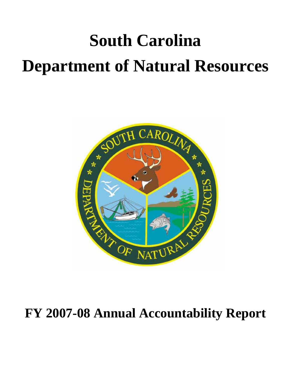# **South Carolina Department of Natural Resources**



# **FY 2007-08 Annual Accountability Report**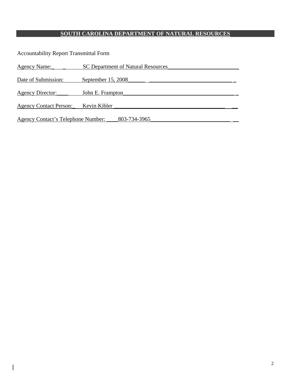# **SOUTH CAROLINA DEPARTMENT OF NATURAL RESOURCES**

Accountability Report Transmittal Form

| Agency Name:                                       | SC Department of Natural Resources |  |  |  |
|----------------------------------------------------|------------------------------------|--|--|--|
| Date of Submission:                                | September 15, 2008                 |  |  |  |
| Agency Director:                                   | John E. Frampton                   |  |  |  |
|                                                    | Kevin Kibler                       |  |  |  |
| <b>Agency Contact Person:</b>                      |                                    |  |  |  |
| 803-734-3965<br>Agency Contact's Telephone Number: |                                    |  |  |  |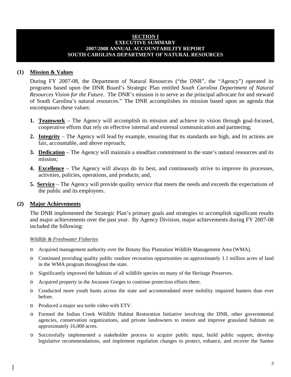#### **SECTION I EXECUTIVE SUMMARY 2007/2008 ANNUAL ACCOUNTABILITY REPORT SOUTH CAROLINA DEPARTMENT OF NATURAL RESOURCES**

#### **(1) Mission & Values**

During FY 2007-08, the Department of Natural Resources ("the DNR", the "Agency") operated its programs based upon the DNR Board's Strategic Plan entitled *South Carolina Department of Natural Resources Vision for the Future*. The DNR's mission is to serve as the principal advocate for and steward of South Carolina's natural resources." The DNR accomplishes its mission based upon an agenda that encompasses these values:

- **1. Teamwork** The Agency will accomplish its mission and achieve its vision through goal-focused, cooperative efforts that rely on effective internal and external communication and partnering;
- **2. Integrity** The Agency will lead by example, ensuring that its standards are high, and its actions are fair, accountable, and above reproach;
- **3. Dedication** The Agency will maintain a steadfast commitment to the state's natural resources and its mission;
- **4. Excellence** The Agency will always do its best, and continuously strive to improve its processes, activities, policies, operations, and products; and,
- **5. Service** The Agency will provide quality service that meets the needs and exceeds the expectations of the public and its employees.

#### **(2) Major Achievements**

The DNR implemented the Strategic Plan's primary goals and strategies to accomplish significant results and major achievements over the past year. By Agency Division, major achievements during FY 2007-08 included the following:

#### *Wildlife & Freshwater Fisheries*

- o Acquired management authority over the Botany Bay Plantation Wildlife Management Area (WMA).
- o Continued providing quality public outdoor recreation opportunities on approximately 1.1 million acres of land in the WMA program throughout the state.
- o Significantly improved the habitats of all wildlife species on many of the Heritage Preserves.
- o Acquired property in the Jocassee Gorges to continue protection efforts there.
- o Conducted more youth hunts across the state and accommodated more mobility impaired hunters than ever before.
- o Produced a major sea turtle video with ETV.
- o Formed the Indian Creek Wildlife Habitat Restoration Initiative involving the DNR, other governmental agencies, conservation organizations, and private landowners to restore and improve grassland habitats on approximately 16,000 acres.
- o Successfully implemented a stakeholder process to acquire public input, build public support, develop legislative recommendations, and implement regulation changes to protect, enhance, and recover the Santee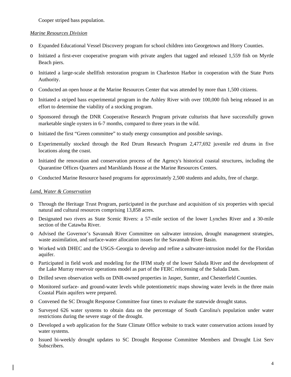Cooper striped bass population.

#### *Marine Resources Division*

- o Expanded Educational Vessel Discovery program for school children into Georgetown and Horry Counties.
- o Initiated a first-ever cooperative program with private anglers that tagged and released 1,559 fish on Myrtle Beach piers.
- o Initiated a large-scale shellfish restoration program in Charleston Harbor in cooperation with the State Ports Authority.
- o Conducted an open house at the Marine Resources Center that was attended by more than 1,500 citizens.
- o Initiated a striped bass experimental program in the Ashley River with over 100,000 fish being released in an effort to determine the viability of a stocking program.
- o Sponsored through the DNR Cooperative Research Program private culturists that have successfully grown marketable single oysters in 6-7 months, compared to three years in the wild.
- o Initiated the first "Green committee" to study energy consumption and possible savings.
- o Experimentally stocked through the Red Drum Research Program 2,477,692 juvenile red drums in five locations along the coast.
- o Initiated the renovation and conservation process of the Agency's historical coastal structures, including the Quarantine Offices Quarters and Marshlands House at the Marine Resources Centers.
- o Conducted Marine Resource based programs for approximately 2,500 students and adults, free of charge.

#### *Land, Water & Conservation*

- o Through the Heritage Trust Program, participated in the purchase and acquisition of six properties with special natural and cultural resources comprising 13,858 acres.
- o Designated two rivers as State Scenic Rivers: a 57-mile section of the lower Lynches River and a 30-mile section of the Catawba River.
- o Advised the Governor's Savannah River Committee on saltwater intrusion, drought management strategies, waste assimilation, and surface-water allocation issues for the Savannah River Basin.
- o Worked with DHEC and the USGS–Georgia to develop and refine a saltwater-intrusion model for the Floridan aquifer.
- o Participated in field work and modeling for the IFIM study of the lower Saluda River and the development of the Lake Murray reservoir operations model as part of the FERC relicensing of the Saluda Dam.
- o Drilled seven observation wells on DNR-owned properties in Jasper, Sumter, and Chesterfield Counties.
- o Monitored surface- and ground-water levels while potentiometric maps showing water levels in the three main Coastal Plain aquifers were prepared.
- o Convened the SC Drought Response Committee four times to evaluate the statewide drought status.
- o Surveyed 626 water systems to obtain data on the percentage of South Carolina's population under water restrictions during the severe stage of the drought.
- o Developed a web application for the State Climate Office website to track water conservation actions issued by water systems.
- o Issued bi-weekly drought updates to SC Drought Response Committee Members and Drought List Serv Subscribers.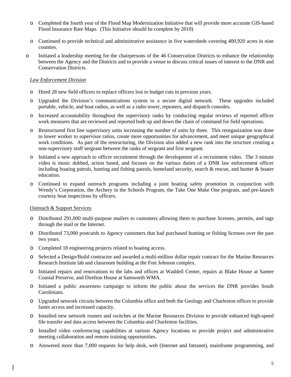- o Completed the fourth year of the Flood Map Modernization Initiative that will provide more accurate GIS-based Flood Insurance Rate Maps. (This Initiative should be complete by 2010)
- o Continued to provide technical and administrative assistance in five watersheds covering 400,920 acres in nine counties.
- o Initiated a leadership meeting for the chairpersons of the 46 Conservation Districts to enhance the relationship between the Agency and the Districts and to provide a venue to discuss critical issues of interest to the DNR and Conservation Districts.

#### *Law Enforcement Division*

- o Hired 28 new field officers to replace officers lost to budget cuts in previous years.
- o Upgraded the Division's communications system to a secure digital network. These upgrades included portable, vehicle, and boat radios, as well as a radio tower, repeaters, and dispatch consoles.
- o Increased accountability throughout the supervisory ranks by conducting regular reviews of reported officer work measures that are reviewed and reported both up and down the chain of command for field operations.
- o Restructured first line supervisory units increasing the number of units by three. This reorganization was done to lower worker to supervisor ratios, create more opportunities for advancement, and meet unique geographical work conditions. As part of the restructuring, the Division also added a new rank into the structure creating a non-supervisory staff sergeant between the ranks of sergeant and first sergeant.
- o Initiated a new approach to officer recruitment through the development of a recruitment video. The 3 minute video is music dubbed, action based, and focuses on the various duties of a DNR law enforcement officer including boating patrols, hunting and fishing patrols, homeland security, search & rescue, and hunter & boater education.
- o Continued to expand outreach programs including a joint boating safety promotion in conjunction with Wendy's Corporation, the Archery in the Schools Program, the Take One Make One program, and pre-launch courtesy boat inspections by officers.

#### Outreach & Support Services

- o Distributed 291,000 multi-purpose mailers to customers allowing them to purchase licenses, permits, and tags through the mail or the Internet.
- o Distributed 73,000 postcards to Agency customers that had purchased hunting or fishing licenses over the past two years.
- o Completed 18 engineering projects related to boating access.
- o Selected a Design/Build contractor and awarded a multi-million dollar repair contract for the Marine Resources Research Institute lab and classroom building at the Fort Johnson complex.
- o Initiated repairs and renovations to the labs and offices at Waddell Center, repairs at Blake House at Santee Coastal Preserve, and Direlton House at Samworth WMA.
- o Initiated a public awareness campaign to inform the public about the services the DNR provides South Carolinians.
- o Upgraded network circuits between the Columbia office and both the Geology and Charleston offices to provide faster access and increased capacity.
- o Installed new network routers and switches at the Marine Resources Division to provide enhanced high-speed file transfer and data access between the Columbia and Charleston facilities.
- o Installed video conferencing capabilities at various Agency locations to provide project and administrative meeting collaboration and remote training opportunities.
- o Answered more than 7,000 requests for help desk, web (Internet and Intranet), mainframe programming, and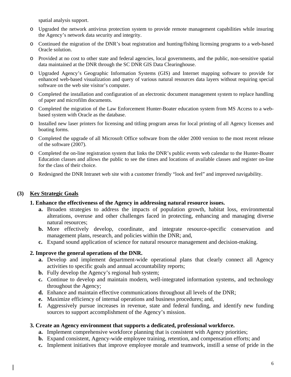spatial analysis support.

- o Upgraded the network antivirus protection system to provide remote management capabilities while insuring the Agency's network data security and integrity.
- o Continued the migration of the DNR's boat registration and hunting/fishing licensing programs to a web-based Oracle solution.
- o Provided at no cost to other state and federal agencies, local governments, and the public, non-sensitive spatial data maintained at the DNR through the SC DNR GIS Data Clearinghouse.
- o Upgraded Agency's Geographic Information Systems (GIS) and Internet mapping software to provide for enhanced web-based visualization and query of various natural resources data layers without requiring special software on the web site visitor's computer.
- o Completed the installation and configuration of an electronic document management system to replace handling of paper and microfilm documents.
- o Completed the migration of the Law Enforcement Hunter-Boater education system from MS Access to a webbased system with Oracle as the database.
- o Installed new laser printers for licensing and titling program areas for local printing of all Agency licenses and boating forms.
- o Completed the upgrade of all Microsoft Office software from the older 2000 version to the most recent release of the software (2007).
- o Completed the on-line registration system that links the DNR's public events web calendar to the Hunter-Boater Education classes and allows the public to see the times and locations of available classes and register on-line for the class of their choice.
- o Redesigned the DNR Intranet web site with a customer friendly "look and feel" and improved navigability.

#### **(3) Key Strategic Goals**

#### **1. Enhance the effectiveness of the Agency in addressing natural resource issues.**

- **a.** Broaden strategies to address the impacts of population growth, habitat loss, environmental alterations, overuse and other challenges faced in protecting, enhancing and managing diverse natural resources;
- **b.** More effectively develop, coordinate, and integrate resource-specific conservation and management plans, research, and policies within the DNR; and,
- **c.** Expand sound application of science for natural resource management and decision-making.

#### **2. Improve the general operations of the DNR.**

- **a.** Develop and implement department-wide operational plans that clearly connect all Agency activities to specific goals and annual accountability reports;
- **b.** Fully develop the Agency's regional hub system;
- **c.** Continue to develop and maintain modern, well-integrated information systems, and technology throughout the Agency;
- **d.** Enhance and maintain effective communications throughout all levels of the DNR;
- **e.** Maximize efficiency of internal operations and business procedures; and,
- **f.** Aggressively pursue increases in revenue, state and federal funding, and identify new funding sources to support accomplishment of the Agency's mission.

#### **3. Create an Agency environment that supports a dedicated, professional workforce.**

- **a.** Implement comprehensive workforce planning that is consistent with Agency priorities;
- **b.** Expand consistent, Agency-wide employee training, retention, and compensation efforts; and
- **c.** Implement initiatives that improve employee morale and teamwork, instill a sense of pride in the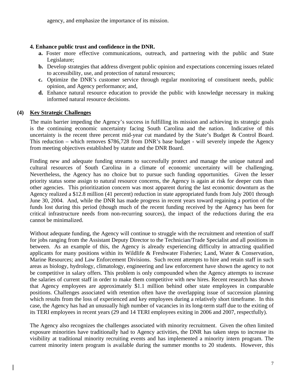agency, and emphasize the importance of its mission.

#### **4. Enhance public trust and confidence in the DNR.**

- **a.** Foster more effective communications, outreach, and partnering with the public and State Legislature;
- **b.** Develop strategies that address divergent public opinion and expectations concerning issues related to accessibility, use, and protection of natural resources;
- **c.** Optimize the DNR's customer service through regular monitoring of constituent needs, public opinion, and Agency performance; and,
- **d.** Enhance natural resource education to provide the public with knowledge necessary in making informed natural resource decisions.

#### **(4) Key Strategic Challenges**

The main barrier impeding the Agency's success in fulfilling its mission and achieving its strategic goals is the continuing economic uncertainty facing South Carolina and the nation. Indicative of this uncertainty is the recent three percent mid-year cut mandated by the State's Budget & Control Board. This reduction – which removes \$786,728 from DNR's base budget - will severely impede the Agency from meeting objectives established by statute and the DNR Board.

Finding new and adequate funding streams to successfully protect and manage the unique natural and cultural resources of South Carolina in a climate of economic uncertainty will be challenging. Nevertheless, the Agency has no choice but to pursue such funding opportunities. Given the lesser priority status some assign to natural resource concerns, the Agency is again at risk for deeper cuts than other agencies. This prioritization concern was most apparent during the last economic downturn as the Agency realized a \$12.8 million (41 percent) reduction in state appropriated funds from July 2001 through June 30, 2004. And, while the DNR has made progress in recent years toward regaining a portion of the funds lost during this period (though much of the recent funding received by the Agency has been for critical infrastructure needs from non-recurring sources), the impact of the reductions during the era cannot be minimalized.

Without adequate funding, the Agency will continue to struggle with the recruitment and retention of staff for jobs ranging from the Assistant Deputy Director to the Technician/Trade Specialist and all positions in between. As an example of this, the Agency is already experiencing difficulty in attracting qualified applicants for many positions within its Wildlife & Freshwater Fisheries; Land, Water & Conservation, Marine Resources; and Law Enforcement Divisions. Such recent attempts to hire and retain staff in such areas as biology, hydrology, climatology, engineering and law enforcement have shown the agency to not be competitive in salary offers. This problem is only compounded when the Agency attempts to increase the salaries of current staff in order to make them competitive with new hires. Recent research has shown that Agency employees are approximately \$1.1 million behind other state employees in comparable positions. Challenges associated with retention often have the overlapping issue of succession planning which results from the loss of experienced and key employees during a relatively short timeframe. In this case, the Agency has had an unusually high number of vacancies in its long-term staff due to the exiting of its TERI employees in recent years (29 and 14 TERI employees exiting in 2006 and 2007, respectfully).

The Agency also recognizes the challenges associated with minority recruitment. Given the often limited exposure minorities have traditionally had to Agency activities, the DNR has taken steps to increase its visibility at traditional minority recruiting events and has implemented a minority intern program. The current minority intern program is available during the summer months to 20 students. However, this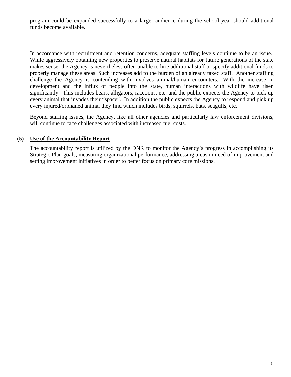program could be expanded successfully to a larger audience during the school year should additional funds become available.

In accordance with recruitment and retention concerns, adequate staffing levels continue to be an issue. While aggressively obtaining new properties to preserve natural habitats for future generations of the state makes sense, the Agency is nevertheless often unable to hire additional staff or specify additional funds to properly manage these areas. Such increases add to the burden of an already taxed staff. Another staffing challenge the Agency is contending with involves animal/human encounters. With the increase in development and the influx of people into the state, human interactions with wildlife have risen significantly. This includes bears, alligators, raccoons, etc. and the public expects the Agency to pick up every animal that invades their "space". In addition the public expects the Agency to respond and pick up every injured/orphaned animal they find which includes birds, squirrels, bats, seagulls, etc.

Beyond staffing issues, the Agency, like all other agencies and particularly law enforcement divisions, will continue to face challenges associated with increased fuel costs.

#### **(5) Use of the Accountability Report**

The accountability report is utilized by the DNR to monitor the Agency's progress in accomplishing its Strategic Plan goals, measuring organizational performance, addressing areas in need of improvement and setting improvement initiatives in order to better focus on primary core missions.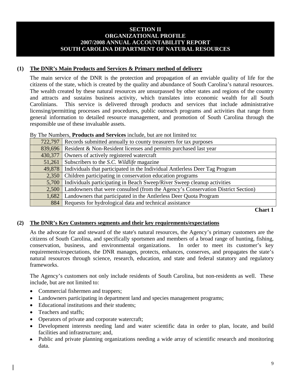#### **SECTION II ORGANIZATIONAL PROFILE 2007/2008 ANNUAL ACCOUNTABILITY REPORT SOUTH CAROLINA DEPARTMENT OF NATURAL RESOURCES**

#### **(1) The DNR's Main Products and Services & Primary method of delivery**

 The main service of the DNR is the protection and propagation of an enviable quality of life for the citizens of the state, which is created by the quality and abundance of South Carolina's natural resources. The wealth created by these natural resources are unsurpassed by other states and regions of the country and attracts and sustains business activity, which translates into economic wealth for all South Carolinians. This service is delivered through products and services that include administrative licensing/permitting processes and procedures, public outreach programs and activities that range from general information to detailed resource management, and promotion of South Carolina through the responsible use of these invaluable assets.

#### By The Numbers, **Products and Services** include, but are not limited to**:**

| 722,797 | Records submitted annually to county treasurers for tax purposes                 |
|---------|----------------------------------------------------------------------------------|
| 839,696 | Resident & Non-Resident licenses and permits purchased last year                 |
| 430,377 | Owners of actively registered watercraft                                         |
| 51,261  | Subscribers to the S.C. Wildlife magazine                                        |
| 49,878  | Individuals that participated in the Individual Antlerless Deer Tag Program      |
| 2,350   | Children participating in conservation education programs                        |
| 5,700   | Individuals participating in Beach Sweep/River Sweep cleanup activities          |
| 2,500   | Landowners that were consulted (from the Agency's Conservation District Section) |
| 1,682   | Landowners that participated in the Antlerless Deer Quota Program                |
| 884     | Requests for hydrological data and technical assistance                          |

 **Chart 1**

#### **(2) The DNR's Key Customers segments and their key requirements/expectations**

As the advocate for and steward of the state's natural resources, the Agency's primary customers are the citizens of South Carolina, and specifically sportsmen and members of a broad range of hunting, fishing, conservation, business, and environmental organizations. In order to meet its customer's key requirements/expectations, the DNR manages, protects, enhances, conserves, and propagates the state's natural resources through science, research, education, and state and federal statutory and regulatory frameworks.

The Agency's customers not only include residents of South Carolina, but non-residents as well. These include, but are not limited to:

- Commercial fishermen and trappers;
- Landowners participating in department land and species management programs;
- Educational institutions and their students:
- Teachers and staffs;
- Operators of private and corporate watercraft;
- Development interests needing land and water scientific data in order to plan, locate, and build facilities and infrastructure; and,
- Public and private planning organizations needing a wide array of scientific research and monitoring data.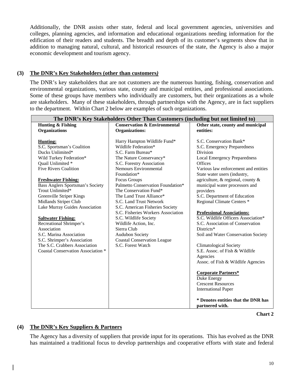Additionally, the DNR assists other state, federal and local government agencies, universities and colleges, planning agencies, and information and educational organizations needing information for the edification of their readers and students. The breadth and depth of its customer's segments show that in addition to managing natural, cultural, and historical resources of the state, the Agency is also a major economic development and tourism agency.

#### **(3) The DNR's Key Stakeholders (other than customers***)*

The DNR's key stakeholders that are not customers are the numerous hunting, fishing, conservation and environmental organizations, various state, county and municipal entities, and professional associations. Some of these groups have members who individually are customers, but their organizations as a whole are stakeholders. Many of these stakeholders, through partnerships with the Agency, are in fact suppliers to the department. Within Chart 2 below are examples of such organizations.

|                                    | The DNR's Key Stakeholders Other Than Customers (including but not limited to) |                                      |
|------------------------------------|--------------------------------------------------------------------------------|--------------------------------------|
| <b>Hunting &amp; Fishing</b>       | <b>Conservation &amp; Environmental</b>                                        | Other state, county and municipal    |
| <b>Organizations</b>               | <b>Organizations:</b>                                                          | entities:                            |
|                                    |                                                                                |                                      |
| <b>Hunting:</b>                    | Harry Hampton Wildlife Fund*                                                   | S.C. Conservation Bank*              |
| S.C. Sportsman's Coalition         | Wildlife Federation*                                                           | S.C. Emergency Preparedness          |
| Ducks Unlimited*                   | S.C. Farm Bureau*                                                              | <b>Division</b>                      |
| Wild Turkey Federation*            | The Nature Conservancy*                                                        | <b>Local Emergency Preparedness</b>  |
| Quail Unlimited *                  | S.C. Forestry Association                                                      | Offices                              |
| <b>Five Rivers Coalition</b>       | <b>Nemours Environmental</b>                                                   | Various law enforcement and entities |
|                                    | Foundation*                                                                    | State water users (industry,         |
| <b>Freshwater Fishing:</b>         | Focus Groups                                                                   | agriculture, & regional, county &    |
| Bass Anglers Sportsman's Society   | Palmetto Conservation Foundation*                                              | municipal water processors and       |
| Trout Unlimited*                   | The Conservation Fund*                                                         | providers                            |
| Greenville Striper Kings           | The Land Trust Alliance*                                                       | S.C. Department of Education         |
| Midlands Striper Club              | S.C. Land Trust Network                                                        | Regional Climate Centers *           |
| Lake Murray Guides Association     | S.C. American Fisheries Society                                                |                                      |
|                                    | S.C. Fisheries Workers Association                                             | <b>Professional Associations:</b>    |
| <b>Saltwater Fishing:</b>          | S.C. Wildlife Society                                                          | S.C. Wildlife Officers Association*  |
| Recreational Shrimper's            | Wildlife Action, Inc.                                                          | S.C. Association of Conservation     |
| Association                        | Sierra Club                                                                    | Districts*                           |
| S.C. Marina Association            | Audubon Society                                                                | Soil and Water Conservation Society  |
| S.C. Shrimper's Association        | <b>Coastal Conservation League</b>                                             |                                      |
| The S.C. Crabbers Association      | S.C. Forest Watch                                                              | <b>Climatological Society</b>        |
| Coastal Conservation Association * |                                                                                | S.E. Assoc. of Fish & Wildlife       |
|                                    |                                                                                | Agencies                             |
|                                    |                                                                                | Assoc. of Fish & Wildlife Agencies   |
|                                    |                                                                                | <b>Corporate Partners*</b>           |
|                                    |                                                                                | Duke Energy                          |
|                                    |                                                                                | <b>Crescent Resources</b>            |
|                                    |                                                                                | <b>International Paper</b>           |
|                                    |                                                                                |                                      |
|                                    |                                                                                | * Denotes entities that the DNR has  |
|                                    |                                                                                | partnered with.                      |

**Chart 2**

#### **(4) The DNR's Key Suppliers & Partners**

The Agency has a diversity of suppliers that provide input for its operations. This has evolved as the DNR has maintained a traditional focus to develop partnerships and cooperative efforts with state and federal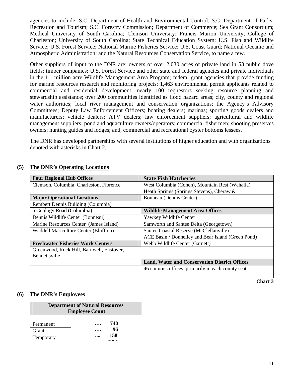agencies to include: S.C. Department of Health and Environmental Control; S.C. Department of Parks, Recreation and Tourism; S.C. Forestry Commission; Department of Commerce; Sea Grant Consortium; Medical University of South Carolina; Clemson University; Francis Marion University; College of Charleston; University of South Carolina; State Technical Education System; U.S. Fish and Wildlife Service; U.S. Forest Service; National Marine Fisheries Service; U.S. Coast Guard; National Oceanic and Atmospheric Administration; and the Natural Resources Conservation Service, to name a few.

Other suppliers of input to the DNR are: owners of over 2,030 acres of private land in 53 public dove fields; timber companies; U.S. Forest Service and other state and federal agencies and private individuals in the 1.1 million acre Wildlife Management Area Program; federal grant agencies that provide funding for marine resources research and monitoring projects; 1,463 environmental permit applicants related to commercial and residential development; nearly 100 requestors seeking resource planning and stewardship assistance; over 200 communities identified as flood hazard areas; city, county and regional water authorities; local river management and conservation organizations; the Agency's Advisory Committees; Deputy Law Enforcement Officers; boating dealers; marinas; sporting goods dealers and manufacturers; vehicle dealers; ATV dealers; law enforcement suppliers; agricultural and wildlife management suppliers; pond and aquaculture owners/operators; commercial fishermen; shooting preserves owners; hunting guides and lodges; and, commercial and recreational oyster bottoms lessees.

The DNR has developed partnerships with several institutions of higher education and with organizations denoted with asterisks in Chart 2.

| <b>Four Regional Hub Offices</b>             | <b>State Fish Hatcheries</b>                         |
|----------------------------------------------|------------------------------------------------------|
| Clemson, Columbia, Charleston, Florence      | West Columbia (Cohen), Mountain Rest (Wahalla)       |
|                                              | Heath Springs (Springs Stevens), Cheraw &            |
| <b>Major Operational Locations</b>           | Bonneau (Dennis Center)                              |
| Rembert Dennis Building (Columbia)           |                                                      |
| 5 Geology Road (Columbia)                    | <b>Wildlife Management Area Offices</b>              |
| Dennis Wildlife Center (Bonneau)             | Yawkey Wildlife Center                               |
| Marine Resources Center (James Island)       | Samworth and Santee Delta (Georgetown)               |
| <b>Waddell Mariculture Center (Bluffton)</b> | Santee Coastal Reserve (McClellanville)              |
|                                              | ACE Basin / Donnelley and Bear Island (Green Pond)   |
| <b>Freshwater Fisheries Work Centers</b>     | Webb Wildlife Center (Garnett)                       |
| Greenwood, Rock Hill, Barnwell, Eastover,    |                                                      |
| Bennettsville                                |                                                      |
|                                              | <b>Land, Water and Conservation District Offices</b> |
|                                              | 46 counties offices, primarily in each county seat   |
|                                              |                                                      |

#### **(5) The DNR's Operating Locations**

**Chart 3** 

#### **(6) The DNR's Employees**

| <b>Department of Natural Resources</b><br><b>Employee Count</b> |     |  |  |  |  |
|-----------------------------------------------------------------|-----|--|--|--|--|
|                                                                 |     |  |  |  |  |
| Permanent                                                       | 740 |  |  |  |  |
| Grant                                                           | 96  |  |  |  |  |
| Temporary                                                       | 158 |  |  |  |  |
|                                                                 |     |  |  |  |  |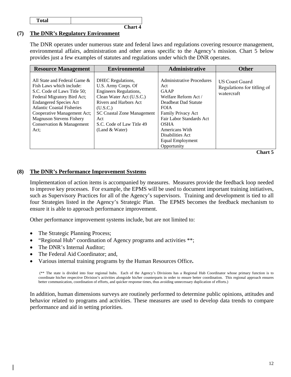**Total** 

**Chart 4**

#### **(7) The DNR's Regulatory Environment**

The DNR operates under numerous state and federal laws and regulations covering resource management, environmental affairs, administration and other areas specific to the Agency's mission. Chart 5 below provides just a few examples of statutes and regulations under which the DNR operates.

| <b>Resource Management</b>                                                                                                                                                                                                                                                                          | <b>Environmental</b>                                                                                                                                                                                                            | Administrative                                                                                                                                                                                                                                           | <b>Other</b>                                               |
|-----------------------------------------------------------------------------------------------------------------------------------------------------------------------------------------------------------------------------------------------------------------------------------------------------|---------------------------------------------------------------------------------------------------------------------------------------------------------------------------------------------------------------------------------|----------------------------------------------------------------------------------------------------------------------------------------------------------------------------------------------------------------------------------------------------------|------------------------------------------------------------|
| All State and Federal Game &<br>Fish Laws which include:<br>S.C. Code of Laws Title 50;<br>Federal Migratory Bird Act;<br><b>Endangered Species Act</b><br><b>Atlantic Coastal Fisheries</b><br>Cooperative Management Act;<br><b>Magnuson Stevens Fishery</b><br>Conservation & Management<br>Act: | DHEC Regulations,<br>U.S. Army Corps. Of<br>Engineers Regulations,<br>Clean Water Act (U.S.C.)<br>Rivers and Harbors Act<br>(U.S.C.)<br><b>SC Coastal Zone Management</b><br>Act<br>S.C. Code of Law Title 49<br>(Land & Water) | Administrative Procedures<br>Act<br><b>GAAP</b><br>Welfare Reform Act /<br>Deadbeat Dad Statute<br><b>FOIA</b><br>Family Privacy Act<br>Fair Labor Standards Act<br><b>OSHA</b><br>Americans With<br>Disabilities Act<br>Equal Employment<br>Opportunity | US Coast Guard<br>Regulations for titling of<br>watercraft |

**Chart 5** 

#### **(8) The DNR's Performance Improvement Systems**

 Implementation of action items is accompanied by measures. Measures provide the feedback loop needed to improve key processes. For example, the EPMS will be used to document important training initiatives, such as Supervisory Practices for all of the Agency's supervisors. Training and development is tied to all four Strategies listed in the Agency's Strategic Plan. The EPMS becomes the feedback mechanism to ensure it is able to approach performance improvement.

Other performance improvement systems include, but are not limited to:

- The Strategic Planning Process;
- "Regional Hub" coordination of Agency programs and activities \*\*;
- The DNR's Internal Auditor:
- The Federal Aid Coordinator; and,
- Various internal training programs by the Human Resources Office**.**

(\*\* The state is divided into four regional hubs. Each of the Agency's Divisions has a Regional Hub Coordinator whose primary function is to coordinate his/her respective Division's activities alongside his/her counterparts in order to ensure better coordination. This regional approach ensures better communication, coordination of efforts, and quicker response times, thus avoiding unnecessary duplication of efforts.)

In addition, human dimensions surveys are routinely performed to determine public opinions, attitudes and behavior related to programs and activities. These measures are used to develop data trends to compare performance and aid in setting priorities.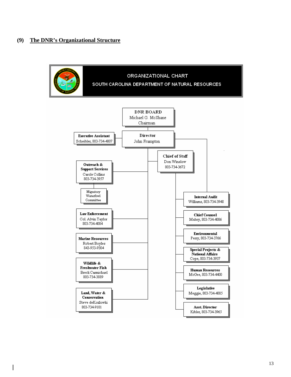#### **(9) The DNR's Organizational Structure**

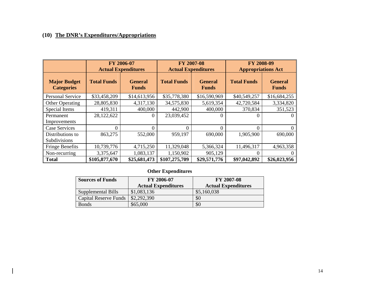# **(10) The DNR's Expenditures/Appropriations**

 $\mathbf{I}$ 

|                                          |                    | FY 2006-07<br><b>Actual Expenditures</b> | FY 2007-08<br><b>Actual Expenditures</b> |                                | FY 2008-09<br><b>Appropriations Act</b> |                                |
|------------------------------------------|--------------------|------------------------------------------|------------------------------------------|--------------------------------|-----------------------------------------|--------------------------------|
| <b>Major Budget</b><br><b>Categories</b> | <b>Total Funds</b> | <b>General</b><br><b>Funds</b>           | <b>Total Funds</b>                       | <b>General</b><br><b>Funds</b> | <b>Total Funds</b>                      | <b>General</b><br><b>Funds</b> |
| Personal Service                         | \$33,458,209       | \$14,613,956                             | \$35,778,380                             | \$16,590,969                   | \$40,549,257                            | \$16,684,255                   |
| <b>Other Operating</b>                   | 28,805,830         | 4,317,130                                | 34,575,830                               | 5,619,354                      | 42,720,584                              | 3,334,820                      |
| <b>Special Items</b>                     | 419,311            | 400,000                                  | 442,900                                  | 400,000                        | 370,834                                 | 351,523                        |
| Permanent<br>Improvements                | 28,122,622         | 0                                        | 23,039,452                               |                                |                                         | $\Omega$                       |
| Case Services                            | 0                  | $\theta$                                 | $\theta$                                 | $\Omega$                       | $\Omega$                                | $\Omega$                       |
| Distributions to<br>Subdivisions         | 863,275            | 552,000                                  | 959,197                                  | 690,000                        | 1,905,900                               | 690,000                        |
| <b>Fringe Benefits</b>                   | 10,739,776         | 4,715,250                                | 11,329,048                               | 5,366,324                      | 11,496,317                              | 4,963,358                      |
| Non-recurring                            | 3,375,647          | 1,083,137                                | 1,150,902                                | 905,129                        |                                         | $\theta$                       |
| <b>Total</b>                             | \$105,877,670      | \$25,681,473                             | \$107,275,709                            | \$29,571,776                   | \$97,042,892                            | \$26,023,956                   |

### **Other Expenditures**

| <b>Sources of Funds</b> | FY 2006-07                 | <b>FY 2007-08</b>          |
|-------------------------|----------------------------|----------------------------|
|                         | <b>Actual Expenditures</b> | <b>Actual Expenditures</b> |
| Supplemental Bills      | \$1,083,136                | \$5,160,038                |
| Capital Reserve Funds   | \$2,292,390                | \$0                        |
| <b>Bonds</b>            | \$65,000                   | \$0                        |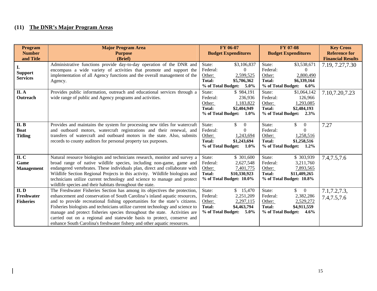# **(11) The DNR's Major Program Areas**

 $\overline{\phantom{a}}$ 

| <b>Program</b><br><b>Number</b><br>and Title | <b>Major Program Area</b><br><b>Purpose</b><br>(Brief)                                                                                                                                                                                                                                                                                                                                                                                                                                                                                                      | FY 06-07<br><b>Budget Expenditures</b>                                                                                                  | <b>FY 07-08</b><br><b>Budget Expenditures</b>                                                                                                      | <b>Key Cross</b><br><b>Reference for</b><br><b>Financial Results</b> |
|----------------------------------------------|-------------------------------------------------------------------------------------------------------------------------------------------------------------------------------------------------------------------------------------------------------------------------------------------------------------------------------------------------------------------------------------------------------------------------------------------------------------------------------------------------------------------------------------------------------------|-----------------------------------------------------------------------------------------------------------------------------------------|----------------------------------------------------------------------------------------------------------------------------------------------------|----------------------------------------------------------------------|
| <b>Support</b><br><b>Services</b>            | Administrative functions provide day-to-day operation of the DNR and<br>encompass a wide variety of activities that promote and support the<br>implementation of all Agency functions and the overall management of the<br>Agency.                                                                                                                                                                                                                                                                                                                          | State:<br>\$3,106,837<br>Federal:<br>$\Omega$<br>2,599,525<br>Other:<br>Total:<br>\$5,706,362<br>% of Total Budget: 5.0%                | \$3,538,671<br>State:<br>Federal:<br>$\mathbf{\Omega}$<br>2,800,490<br>Other:<br><b>Total:</b><br>\$6,339,164<br>% of Total Budget: 6.0%           | 7.19, 7.27, 7.30                                                     |
| II. A<br>Outreach                            | Provides public information, outreach and educational services through a<br>wide range of public and Agency programs and activities.                                                                                                                                                                                                                                                                                                                                                                                                                        | \$984,191<br>State:<br>Federal:<br>236,936<br>1,183,822<br>Other:<br>Total:<br>\$2,404,949<br>% of Total Budget:<br>$1.0\%$             | \$1,064,142<br>State:<br>Federal:<br>126,966<br>Other:<br>1,293,085<br>Total:<br>\$2,484,193<br>% of Total Budget: 2.3%                            | 7.10,7.20,7.23                                                       |
| II. B<br><b>Boat</b><br><b>Titling</b>       | Provides and maintains the system for processing new titles for watercraft<br>and outboard motors, watercraft registrations and their renewal, and<br>transfers of watercraft and outboard motors in the state. Also, submits<br>records to county auditors for personal property tax purposes.                                                                                                                                                                                                                                                             | \$<br>State:<br>$\overline{0}$<br>Federal:<br>$\Omega$<br>Other:<br>1,243,694<br>Total:<br>\$1,243,694<br>% of Total Budget:<br>$1.0\%$ | State:<br>\$<br>$\overline{0}$<br>Federal:<br>0<br>Other:<br>1,258,516<br><b>Total:</b><br>\$1,258,516<br>% of Total Budget:<br>$1.2\%$            | 7.27                                                                 |
| II.C<br>Game<br><b>Management</b>            | Natural resource biologists and technicians research, monitor and survey a<br>broad range of native wildlife species, including non-game, game and<br>endangered vertebrates. These individuals plan, direct and collaborate with<br>Wildlife Section Regional Projects in this activity. Wildlife biologists and<br>technicians utilize current technology and science to manage and protect<br>wildlife species and their habitats throughout the state.                                                                                                  | \$ 301,600<br>State:<br>Federal:<br>2,627,548<br>Other:<br>7,401,775<br><b>Total:</b><br>\$10,330,923<br>% of Total Budget: 10.0%       | \$303,939<br>State:<br>Federal:<br>3,211,760<br>7,893,565<br>Other:<br>\$11,409,265<br>Total:<br>% of Total Budget: 10.8%                          | 7.4, 7.5, 7.6                                                        |
| II.D<br>Freshwater<br><b>Fisheries</b>       | The Freshwater Fisheries Section has among its objectives the protection,<br>enhancement and conservation of South Carolina's inland aquatic resources,<br>and to provide recreational fishing opportunities for the state's citizens.<br>Fisheries biologists and technicians utilize current technology and science to<br>manage and protect fisheries species throughout the state. Activities are<br>carried out on a regional and statewide basis to protect, conserve and<br>enhance South Carolina's freshwater fishery and other aquatic resources. | \$15,470<br>State:<br>Federal:<br>2,251,209<br>Other:<br>2,297,115<br>Total:<br>\$4,463,794<br>% of Total Budget: 5.0%                  | $\mathbb{S}$<br>$\overline{0}$<br>State:<br>2,382,286<br>Federal:<br>2,529,272<br>Other:<br>Total:<br>\$4,911,559<br>% of Total Budget:<br>$4.6\%$ | 7.1, 7.2, 7.3,<br>7.4, 7.5, 7.6                                      |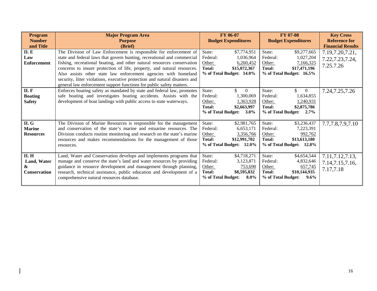| <b>Program</b><br><b>Number</b><br>and Title            | <b>Major Program Area</b><br><b>Purpose</b><br>(Brief)                                                                                                                                                                                                                                                                                                                                                                                                                                                                       | <b>FY 06-07</b><br><b>Budget Expenditures</b>                                                                                 | <b>FY 07-08</b><br><b>Budget Expenditures</b>                                                                                            | <b>Key Cross</b><br><b>Reference for</b><br><b>Financial Results</b> |
|---------------------------------------------------------|------------------------------------------------------------------------------------------------------------------------------------------------------------------------------------------------------------------------------------------------------------------------------------------------------------------------------------------------------------------------------------------------------------------------------------------------------------------------------------------------------------------------------|-------------------------------------------------------------------------------------------------------------------------------|------------------------------------------------------------------------------------------------------------------------------------------|----------------------------------------------------------------------|
| II. E<br>Law<br><b>Enforcement</b>                      | The Division of Law Enforcement is responsible for enforcement of<br>state and federal laws that govern hunting, recreational and commercial<br>fishing, recreational boating, and other natural resources conservation<br>concerns to insure protection of life, property, and natural resources.<br>Also assists other state law enforcement agencies with homeland<br>security, litter violations, executive protection and natural disasters and<br>general law enforcement support functions for public safety matters. | \$7,774,951<br>State:<br>Federal:<br>1,036,964<br>Other:<br>6,260,452<br>Total:<br>\$15,072,367<br>% of Total Budget: 14.0%   | State:<br>\$9,277,665<br>Federal:<br>1,027,204<br>Other:<br>7,166,325<br>Total:<br>\$17,471,196<br>% of Total Budget: 16.5%              | 7.19, 7.20, 7.21,<br>7.22, 7.23, 7.24,<br>7.25.7.26                  |
| II. F<br><b>Boating</b><br><b>Safety</b>                | Enforces boating safety as mandated by state and federal law, promotes<br>safe boating and investigates boating accidents. Assists with the<br>development of boat landings with public access to state waterways.                                                                                                                                                                                                                                                                                                           | State:<br>$\theta$<br>Federal:<br>1,300,069<br>1,363,928<br>Other:<br>Total:<br>\$2,663,997<br>% of Total Budget:<br>$3.0\%$  | \$<br>State:<br>$\overline{0}$<br>Federal:<br>1,634,855<br>Other:<br>1,240,931<br>Total:<br>\$2,875,786<br>% of Total Budget:<br>$2.7\%$ | 7.24, 7.25, 7.26                                                     |
| II. G<br><b>Marine</b><br><b>Resources</b>              | The Division of Marine Resources is responsible for the management<br>and conservation of the state's marine and estuarine resources. The<br>Division conducts routine monitoring and research on the state's marine<br>resources and makes recommendations for the management of those<br>resources.                                                                                                                                                                                                                        | State:<br>\$2,981,765<br>Federal:<br>6,653,171<br>Other:<br>3,356,766<br>Total:<br>\$12,991,702<br>% of Total Budget: 12.0%   | State:<br>\$3,236,437<br>Federal:<br>7,223,391<br>Other:<br>992,762<br>Total:<br>\$13,613,180<br>% of Total Budget: 12.8%                | 7.7,7.8,7.9,7.10                                                     |
| <b>II. H</b><br>Land, Water<br>&<br><b>Conservation</b> | Land, Water and Conservation develops and implements programs that<br>manage and conserve the state's land and water resources by providing<br>guidance in resource development and management through planning,<br>research, technical assistance, public education and development of a<br>comprehensive natural resources database.                                                                                                                                                                                       | State:<br>\$4,718,271<br>Federal:<br>3,123,871<br>Other:<br>753,690<br>Total:<br>\$8,595,832<br>% of Total Budget:<br>$8.0\%$ | State:<br>\$4,654,544<br>Federal:<br>4,832,646<br>Other:<br>657,745<br>\$10,144,935<br>Total:<br>% of Total Budget:<br>$9.6\%$           | 7.11, 7.12, 7.13,<br>7.14,7.15,7.16,<br>7.17,7.18                    |

 $\begin{array}{c} \hline \end{array}$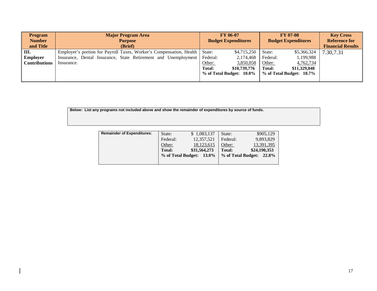| <b>Program</b><br><b>Number</b><br>and Title | <b>Major Program Area</b><br><b>Purpose</b><br>(Brief)                  |        | <b>FY 06-07</b><br><b>Budget Expenditures</b> |               | <b>FY 07-08</b><br><b>Budget Expenditures</b> | <b>Key Cross</b><br><b>Reference for</b><br><b>Financial Results</b> |
|----------------------------------------------|-------------------------------------------------------------------------|--------|-----------------------------------------------|---------------|-----------------------------------------------|----------------------------------------------------------------------|
| Ш.                                           | Employer's portion for Payroll Taxes, Worker's Compensation, Health     | State: | \$4,715,250                                   | State:        | \$5,366,324                                   | 7.30,7.31                                                            |
| <b>Employer</b>                              | Insurance, Dental Insurance, State Retirement and Unemployment Federal: |        | 2,174,468                                     | Federal:      | 1,199,988                                     |                                                                      |
| <b>Contributions</b>                         | Insurance.                                                              | Other: | 3,850,058                                     | Other:        | 4,762,734                                     |                                                                      |
|                                              |                                                                         | Total: | \$10,739,776                                  | <b>Total:</b> | \$11,329,048                                  |                                                                      |
|                                              |                                                                         |        | % of Total Budget: 10.0%                      |               | % of Total Budget: 10.7%                      |                                                                      |
|                                              |                                                                         |        |                                               |               |                                               |                                                                      |

**Below: List any programs not included above and show the remainder of expenditures by source of funds.** 

 $\overline{\phantom{a}}$ 

| <b>Remainder of Expenditures:</b> | State:             | \$1,083,137  | State:             | \$905,129    |
|-----------------------------------|--------------------|--------------|--------------------|--------------|
|                                   | Federal:           | 12.357.521   | Federal:           | 9,893,829    |
|                                   | Other:             | 18,123,615   | Other:             | 13,391,395   |
|                                   | <b>Total:</b>      | \$31,564,273 | <b>Total:</b>      | \$24,190,353 |
|                                   | % of Total Budget: | 13.0%        | % of Total Budget: | 22.8%        |
|                                   |                    |              |                    |              |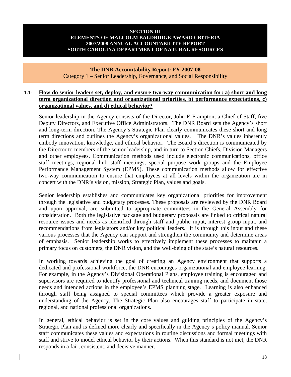#### **SECTION III ELEMENTS OF MALCOLM BALDRIDGE AWARD CRITERIA 2007/2008 ANNUAL ACCOUNTABILITY REPORT SOUTH CAROLINA DEPARTMENT OF NATURAL RESOURCES**

#### **The DNR Accountability Report: FY 2007-08**  Category 1 – Senior Leadership, Governance, and Social Responsibility

#### **1.1**: **How do senior leaders set, deploy, and ensure two-way communication for: a) short and long term organizational direction and organizational priorities, b) performance expectations, c) organizational values, and d) ethical behavior?**

 Senior leadership in the Agency consists of the Director, John E Frampton, a Chief of Staff, five Deputy Directors, and Executive Office Administrators. The DNR Board sets the Agency's short and long-term direction. The Agency's Strategic Plan clearly communicates these short and long term directions and outlines the Agency's organizational values. The DNR's values inherently embody innovation, knowledge, and ethical behavior. The Board's direction is communicated by the Director to members of the senior leadership, and in turn to Section Chiefs, Division Managers and other employees. Communication methods used include electronic communications, office staff meetings, regional hub staff meetings, special purpose work groups and the Employee Performance Management System (EPMS). These communication methods allow for effective two-way communication to ensure that employees at all levels within the organization are in concert with the DNR's vision, mission, Strategic Plan, values and goals.

 Senior leadership establishes and communicates key organizational priorities for improvement through the legislative and budgetary processes. These proposals are reviewed by the DNR Board and upon approval, are submitted to appropriate committees in the General Assembly for consideration. Both the legislative package and budgetary proposals are linked to critical natural resource issues and needs as identified through staff and public input, interest group input, and recommendations from legislators and/or key political leaders. It is through this input and these various processes that the Agency can support and strengthen the community and determine areas of emphasis. Senior leadership works to effectively implement these processes to maintain a primary focus on customers, the DNR vision, and the well-being of the state's natural resources.

 In working towards achieving the goal of creating an Agency environment that supports a dedicated and professional workforce, the DNR encourages organizational and employee learning. For example, in the Agency's Divisional Operational Plans, employee training is encouraged and supervisors are required to identify professional and technical training needs, and document those needs and intended actions in the employee's EPMS planning stage. Learning is also enhanced through staff being assigned to special committees which provide a greater exposure and understanding of the Agency. The Strategic Plan also encourages staff to participate in state, regional, and national professional organizations.

 In general, ethical behavior is set in the core values and guiding principles of the Agency's Strategic Plan and is defined more clearly and specifically in the Agency's policy manual. Senior staff communicates these values and expectations in routine discussions and formal meetings with staff and strive to model ethical behavior by their actions. When this standard is not met, the DNR responds in a fair, consistent, and decisive manner.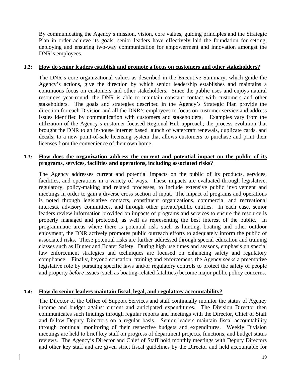By communicating the Agency's mission, vision, core values, guiding principles and the Strategic Plan in order achieve its goals, senior leaders have effectively laid the foundation for setting, deploying and ensuring two-way communication for empowerment and innovation amongst the DNR's employees.

#### **1.2: How do senior leaders establish and promote a focus on customers and other stakeholders?**

 The DNR's core organizational values as described in the Executive Summary, which guide the Agency's actions, give the direction by which senior leadership establishes and maintains a continuous focus on customers and other stakeholders. Since the public uses and enjoys natural resources year-round, the DNR is able to maintain constant contact with customers and other stakeholders. The goals and strategies described in the Agency's Strategic Plan provide the direction for each Division and all the DNR's employees to focus on customer service and address issues identified by communication with customers and stakeholders. Examples vary from the utilization of the Agency's customer focused Regional Hub approach; the process evolution that brought the DNR to an in-house internet based launch of watercraft renewals, duplicate cards, and decals; to a new point-of-sale licensing system that allows customers to purchase and print their licenses from the convenience of their own home.

#### **1.3: How does the organization address the current and potential impact on the public of its programs, services, facilities and operations, including associated risks?**

 The Agency addresses current and potential impacts on the public of its products, services, facilities, and operations in a variety of ways. These impacts are evaluated through legislative, regulatory, policy-making and related processes, to include extensive public involvement and meetings in order to gain a diverse cross section of input. The impact of programs and operations is noted through legislative contacts, constituent organizations, commercial and recreational interests, advisory committees, and through other private/public entities. In each case, senior leaders review information provided on impacts of programs and services to ensure the resource is properly managed and protected, as well as representing the best interest of the public. In programmatic areas where there is potential risk**,** such as hunting, boating and other outdoor enjoyment, the DNR actively promotes public outreach efforts to adequately inform the public of associated risks. These potential risks are further addressed through special education and training classes such as Hunter and Boater Safety. During high use times and seasons, emphasis on special law enforcement strategies and techniques are focused on enhancing safety and regulatory compliance. Finally, beyond education, training and enforcement, the Agency seeks a preemptive legislative role by pursuing specific laws and/or regulatory controls to protect the safety of people and property *before* issues (such as boating-related fatalities) become major public policy concerns.

#### **1.4: How do senior leaders maintain fiscal, legal, and regulatory accountability?**

 The Director of the Office of Support Services and staff continually monitor the status of Agency income and budget against current and anticipated expenditures. The Division Director then communicates such findings through regular reports and meetings with the Director, Chief of Staff and fellow Deputy Directors on a regular basis. Senior leaders maintain fiscal accountability through continual monitoring of their respective budgets and expenditures. Weekly Division meetings are held to brief key staff on progress of department projects, functions, and budget status reviews. The Agency's Director and Chief of Staff hold monthly meetings with Deputy Directors and other key staff and are given strict fiscal guidelines by the Director and held accountable for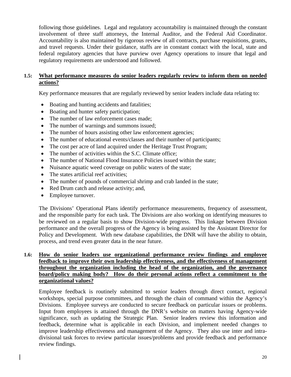following those guidelines. Legal and regulatory accountability is maintained through the constant involvement of three staff attorneys, the Internal Auditor, and the Federal Aid Coordinator. Accountability is also maintained by rigorous review of all contracts, purchase requisitions, grants, and travel requests. Under their guidance, staffs are in constant contact with the local, state and federal regulatory agencies that have purview over Agency operations to insure that legal and regulatory requirements are understood and followed.

#### **1.5: What performance measures do senior leaders regularly review to inform them on needed actions?**

Key performance measures that are regularly reviewed by senior leaders include data relating to:

- Boating and hunting accidents and fatalities;
- Boating and hunter safety participation;
- The number of law enforcement cases made:
- The number of warnings and summons issued;
- The number of hours assisting other law enforcement agencies;
- The number of educational events/classes and their number of participants;
- The cost per acre of land acquired under the Heritage Trust Program;
- The number of activities within the S.C. Climate office;
- The number of National Flood Insurance Policies issued within the state;
- Nuisance aquatic weed coverage on public waters of the state;
- The states artificial reef activities;
- The number of pounds of commercial shrimp and crab landed in the state;
- Red Drum catch and release activity; and,
- Employee turnover.

 The Divisions' Operational Plans identify performance measurements, frequency of assessment, and the responsible party for each task. The Divisions are also working on identifying measures to be reviewed on a regular basis to show Division-wide progress. This linkage between Division performance and the overall progress of the Agency is being assisted by the Assistant Director for Policy and Development. With new database capabilities, the DNR will have the ability to obtain, process, and trend even greater data in the near future.

#### **1.6: How do senior leaders use organizational performance review findings and employee feedback to improve their own leadership effectiveness, and the effectiveness of management throughout the organization including the head of the organization, and the governance board/policy making body? How do their personal actions reflect a commitment to the organizational values?**

 Employee feedback is routinely submitted to senior leaders through direct contact, regional workshops, special purpose committees, and through the chain of command within the Agency's Divisions. Employee surveys are conducted to secure feedback on particular issues or problems. Input from employees is attained through the DNR's website on matters having Agency-wide significance, such as updating the Strategic Plan. Senior leaders review this information and feedback, determine what is applicable in each Division, and implement needed changes to improve leadership effectiveness and management of the Agency. They also use inter and intradivisional task forces to review particular issues/problems and provide feedback and performance review findings.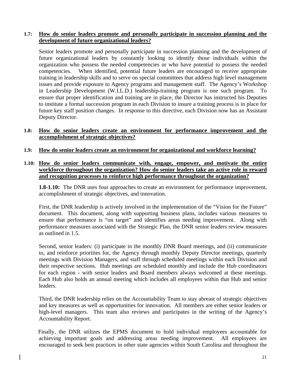#### **1.7: How do senior leaders promote and personally participate in succession planning and the development of future organizational leaders?**

 Senior leaders promote and personally participate in succession planning and the development of future organizational leaders by constantly looking to identify those individuals within the organization who possess the needed competencies or who have potential to possess the needed competencies. When identified, potential future leaders are encouraged to receive appropriate training in leadership skills and to serve on special committees that address high level management issues and provide exposure to Agency programs and management staff. The Agency's Workshop in Leadership Development (W.I.L.D.) leadership-training program is one such program. To ensure that proper identification and training are in place, the Director has instructed his Deputies to institute a formal succession program in each Division to insure a training process is in place for future key staff position changes. In response to this directive, each Division now has an Assistant Deputy Director.

#### **1.8: How do senior leaders create an environment for performance improvement and the accomplishment of strategic objectives?**

#### **1.9: How do senior leaders create an environment for organizational and workforce learning?**

#### **1.10: How do senior leaders communicate with, engage, empower, and motivate the entire workforce throughout the organization? How do senior leaders take an active role in reward and recognition processes to reinforce high performance throughout the organization?**

 **1.8-1.10:** The DNR uses four approaches to create an environment for performance improvement, accomplishment of strategic objectives, and innovation.

First, the DNR leadership is actively involved in the implementation of the "Vision for the Future" document. This document, along with supporting business plans, includes various measures to ensure that performance is "on target" and identifies areas needing improvement. Along with performance measures associated with the Strategic Plan, the DNR senior leaders review measures as outlined in 1.5.

 Second, senior leaders: (i) participate in the monthly DNR Board meetings, and (ii) communicate to, and reinforce priorities for, the Agency through monthly Deputy Director meetings, quarterly meetings with Division Managers, and staff through scheduled meetings within each Division and their respective sections. Hub meetings are scheduled monthly and include the Hub coordinators for each region - with senior leaders and Board members always welcomed at these meetings. Each Hub also holds an annual meeting which includes all employees within that Hub and senior leaders.

 Third, the DNR leadership relies on the Accountability Team to stay abreast of strategic objectives and key measures as well as opportunities for innovation. All members are either senior leaders or high-level managers. This team also reviews and participates in the writing of the Agency's Accountability Report.

 Finally, the DNR utilizes the EPMS document to hold individual employees accountable for achieving important goals and addressing areas needing improvement. All employees are encouraged to seek best practices in other state agencies within South Carolina and throughout the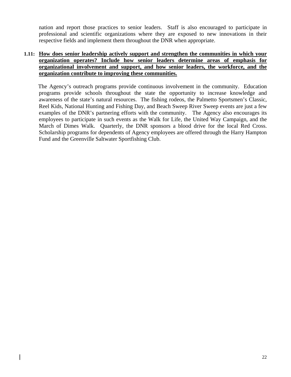nation and report those practices to senior leaders. Staff is also encouraged to participate in professional and scientific organizations where they are exposed to new innovations in their respective fields and implement them throughout the DNR when appropriate.

#### **1.11: How does senior leadership actively support and strengthen the communities in which your organization operates? Include how senior leaders determine areas of emphasis for organizational involvement and support, and how senior leaders, the workforce, and the organization contribute to improving these communities.**

 The Agency's outreach programs provide continuous involvement in the community. Education programs provide schools throughout the state the opportunity to increase knowledge and awareness of the state's natural resources. The fishing rodeos, the Palmetto Sportsmen's Classic, Reel Kids, National Hunting and Fishing Day, and Beach Sweep River Sweep events are just a few examples of the DNR's partnering efforts with the community. The Agency also encourages its employees to participate in such events as the Walk for Life, the United Way Campaign, and the March of Dimes Walk. Quarterly, the DNR sponsors a blood drive for the local Red Cross. Scholarship programs for dependents of Agency employees are offered through the Harry Hampton Fund and the Greenville Saltwater Sportfishing Club.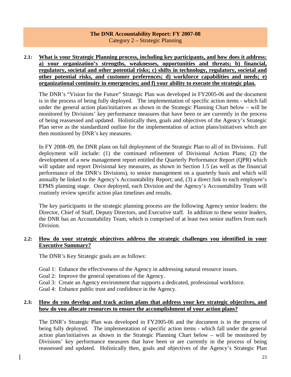#### **The DNR Accountability Report: FY 2007-08**  Category 2 – Strategic Planning

#### **2.1: What is your Strategic Planning process, including key participants, and how does it address: a) your organization's strengths, weaknesses, opportunities and threats; b) financial, regulatory, societal and other potential risks; c) shifts in technology, regulatory, societal and other potential risks, and customer preferences; d) workforce capabilities and needs; e) organizational continuity in emergencies; and f) your ability to execute the strategic plan.**

The DNR's "Vision for the Future" Strategic Plan was developed in FY2005-06 and the document is in the process of being fully deployed. The implementation of specific action items - which fall under the general action plan/initiatives as shown in the Strategic Planning Chart below – will be monitored by Divisions' key performance measures that have been or are currently in the process of being reassessed and updated. Holistically then, goals and objectives of the Agency's Strategic Plan serve as the standardized outline for the implementation of action plans/initiatives which are then monitored by DNR's key measures.

In FY 2008–09, the DNR plans on full deployment of the Strategic Plan to all of its Divisions. Full deployment will include: (1) the continued refinement of Divisional Action Plans; (2) the development of a new management report entitled the Quarterly Performance Report (QPR) which will update and report Divisional key measures, as shown in Section 1.5 (as well as the financial performance of the DNR's Divisions), to senior management on a quarterly basis and which will annually be linked to the Agency's Accountability Report; and, (3) a direct link to each employee's EPMS planning stage. Once deployed, each Division and the Agency's Accountability Team will routinely review specific action plan timelines and results.

The key participants in the strategic planning process are the following Agency senior leaders: the Director, Chief of Staff, Deputy Directors, and Executive staff. In addition to these senior leaders, the DNR has an Accountability Team, which is comprised of at least two senior staffers from each Division.

#### **2.2: How do your strategic objectives address the strategic challenges you identified in your Executive Summary?**

The DNR's Key Strategic goals are as follows:

- Goal 1: Enhance the effectiveness of the Agency in addressing natural resource issues.
- Goal 2: Improve the general operations of the Agency.
- Goal 3: Create an Agency environment that supports a dedicated, professional workforce.
- Goal 4: Enhance public trust and confidence in the Agency.

#### **2.3: How do you develop and track action plans that address your key strategic objectives, and how do you allocate resources to ensure the accomplishment of your action plans?**

The DNR's Strategic Plan was developed in FY2005-06 and the document is in the process of being fully deployed. The implementation of specific action items - which fall under the general action plan/initiatives as shown in the Strategic Planning Chart below – will be monitored by Divisions' key performance measures that have been or are currently in the process of being reassessed and updated. Holistically then, goals and objectives of the Agency's Strategic Plan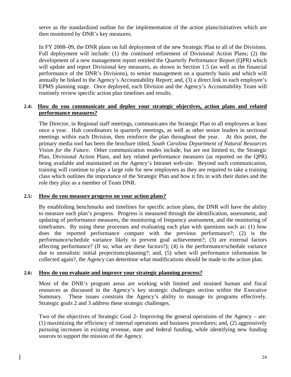serve as the standardized outline for the implementation of the action plans/initiatives which are then monitored by DNR's key measures.

In FY 2008–09, the DNR plans on full deployment of the new Strategic Plan to all of the Divisions. Full deployment will include: (1) the continued refinement of Divisional Action Plans; (2) the development of a new management report entitled the Quarterly Performance Report (QPR) which will update and report Divisional key measures, as shown in Section 1.5 (as well as the financial performance of the DNR's Divisions), to senior management on a quarterly basis and which will annually be linked to the Agency's Accountability Report; and, (3) a direct link to each employee's EPMS planning stage. Once deployed, each Division and the Agency's Accountability Team will routinely review specific action plan timelines and results.

#### **2.4: How do you communicate and deploy your strategic objectives, action plans and related performance measures?**

 The Director, in Regional staff meetings, communicates the Strategic Plan to all employees at least once a year. Hub coordinators in quarterly meetings, as well as other senior leaders in sectional meetings within each Division, then reinforce the plan throughout the year. At this point, the primary media tool has been the brochure titled, *South Carolina Department of Natural Resources Vision for the Future.* Other communication modes include, but are not limited to, the Strategic Plan, Divisional Action Plans, and key related performance measures (as reported on the QPR) being available and maintained on the Agency's Intranet web-site. Beyond such communication, training will continue to play a large role for new employees as they are required to take a training class which outlines the importance of the Strategic Plan and how it fits in with their duties and the role they play as a member of Team DNR.

#### **2.5: How do you measure progress on your action plans?**

 By establishing benchmarks and timelines for specific action plans, the DNR will have the ability to measure each plan's progress. Progress is measured through the identification, assessment, and updating of performance measures, the monitoring of frequency assessment, and the monitoring of timeframes. By using these processes and evaluating each plan with questions such as: (1) how does the reported performance compare with the previous performance?; (2) is the performance/schedule variance likely to prevent goal achievement?; (3) are external factors affecting performance? (If so, what are these factors?); (4) is the performance/schedule variance due to unrealistic initial projections/planning?; and, (5) when will performance information be collected again?, the Agency can determine what modifications should be made to the action plan.

#### **2.6: How do you evaluate and improve your strategic planning process?**

 Most of the DNR's program areas are working with limited and strained human and fiscal resources as discussed in the Agency's key strategic challenges section within the Executive Summary. These issues constrain the Agency's ability to manage its programs effectively. Strategic goals 2 and 3 address these strategic challenges.

 Two of the objectives of Strategic Goal 2- Improving the general operations of the Agency – are: (1) maximizing the efficiency of internal operations and business procedures; and, (2) aggressively pursuing increases in existing revenue, state and federal funding, while identifying new funding sources to support the mission of the Agency.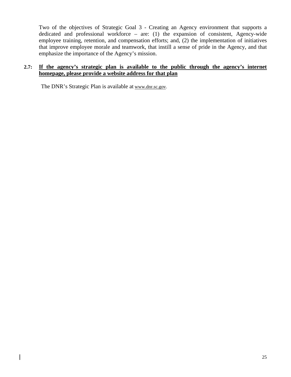Two of the objectives of Strategic Goal 3 - Creating an Agency environment that supports a dedicated and professional workforce – are: (1) the expansion of consistent, Agency-wide employee training, retention, and compensation efforts; and, (2) the implementation of initiatives that improve employee morale and teamwork, that instill a sense of pride in the Agency, and that emphasize the importance of the Agency's mission.

#### **2.7: If the agency's strategic plan is available to the public through the agency's internet homepage, please provide a website address for that plan**

The DNR's Strategic Plan is available at [www.dnr.sc.gov](http://www.dnr.sc.gov/).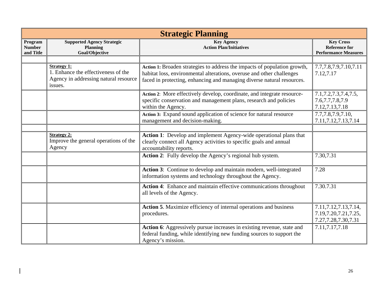| <b>Strategic Planning</b>             |                                                                                                               |                                                                                                                                                                                                                              |                                                                              |  |
|---------------------------------------|---------------------------------------------------------------------------------------------------------------|------------------------------------------------------------------------------------------------------------------------------------------------------------------------------------------------------------------------------|------------------------------------------------------------------------------|--|
| Program<br><b>Number</b><br>and Title | <b>Supported Agency Strategic</b><br><b>Planning</b><br>Goal/Objective                                        | <b>Key Agency</b><br><b>Action Plan/Initiatives</b>                                                                                                                                                                          | <b>Key Cross</b><br><b>Reference for</b><br><b>Performance Measures</b>      |  |
|                                       |                                                                                                               |                                                                                                                                                                                                                              |                                                                              |  |
|                                       | <b>Strategy 1:</b><br>1. Enhance the effectiveness of the<br>Agency in addressing natural resource<br>issues. | Action 1: Broaden strategies to address the impacts of population growth,<br>habitat loss, environmental alterations, overuse and other challenges<br>faced in protecting, enhancing and managing diverse natural resources. | 7.7, 7.8, 7.9, 7.10, 7.11<br>7.12,7.17                                       |  |
|                                       |                                                                                                               | Action 2: More effectively develop, coordinate, and integrate resource-<br>specific conservation and management plans, research and policies<br>within the Agency.                                                           | 7.1, 7.2, 7.3, 7.4, 7.5,<br>7.6, 7.7, 7.8, 7.9<br>7.12, 7.13, 7.18           |  |
|                                       |                                                                                                               | Action 3: Expand sound application of science for natural resource<br>management and decision-making.                                                                                                                        | 7.7,7.8,7.9,7.10,<br>7.11, 7.12, 7.13, 7.14                                  |  |
|                                       |                                                                                                               |                                                                                                                                                                                                                              |                                                                              |  |
|                                       | <b>Strategy 2:</b><br>Improve the general operations of the<br>Agency                                         | <b>Action 1:</b> Develop and implement Agency-wide operational plans that<br>clearly connect all Agency activities to specific goals and annual<br>accountability reports.                                                   |                                                                              |  |
|                                       |                                                                                                               | Action 2: Fully develop the Agency's regional hub system.                                                                                                                                                                    | 7.30,7.31                                                                    |  |
|                                       |                                                                                                               | Action 3: Continue to develop and maintain modern, well-integrated<br>information systems and technology throughout the Agency.                                                                                              | 7.28                                                                         |  |
|                                       |                                                                                                               | Action 4: Enhance and maintain effective communications throughout<br>all levels of the Agency.                                                                                                                              | 7.30.7.31                                                                    |  |
|                                       |                                                                                                               | Action 5. Maximize efficiency of internal operations and business<br>procedures.                                                                                                                                             | 7.11, 7.12, 7.13, 7.14,<br>7.19, 7.20, 7.21, 7.25,<br>7.27, 7.28, 7.30, 7.31 |  |
|                                       |                                                                                                               | Action 6: Aggressively pursue increases in existing revenue, state and<br>federal funding, while identifying new funding sources to support the<br>Agency's mission.                                                         | 7.11,7.17,7.18                                                               |  |

 $\overline{\phantom{a}}$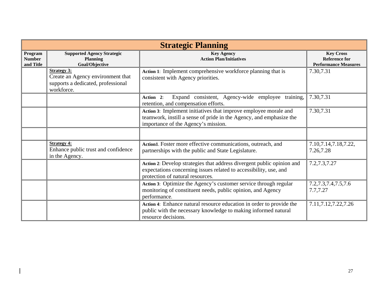| <b>Strategic Planning</b>             |                                                                                                             |                                                                                                                                                                                 |                                                                         |  |
|---------------------------------------|-------------------------------------------------------------------------------------------------------------|---------------------------------------------------------------------------------------------------------------------------------------------------------------------------------|-------------------------------------------------------------------------|--|
| Program<br><b>Number</b><br>and Title | <b>Supported Agency Strategic</b><br><b>Planning</b><br>Goal/Objective                                      | <b>Key Agency</b><br><b>Action Plan/Initiatives</b>                                                                                                                             | <b>Key Cross</b><br><b>Reference for</b><br><b>Performance Measures</b> |  |
|                                       | <b>Strategy 3:</b><br>Create an Agency environment that<br>supports a dedicated, professional<br>workforce. | Action 1: Implement comprehensive workforce planning that is<br>consistent with Agency priorities.                                                                              | 7.30,7.31                                                               |  |
|                                       |                                                                                                             | Expand consistent, Agency-wide employee training,<br>Action 2:<br>retention, and compensation efforts.                                                                          | 7.30,7.31                                                               |  |
|                                       |                                                                                                             | Action 3: Implement initiatives that improve employee morale and<br>teamwork, instill a sense of pride in the Agency, and emphasize the<br>importance of the Agency's mission.  | 7.30,7.31                                                               |  |
|                                       |                                                                                                             |                                                                                                                                                                                 |                                                                         |  |
|                                       | <b>Strategy 4:</b><br>Enhance public trust and confidence<br>in the Agency.                                 | Action1. Foster more effective communications, outreach, and<br>partnerships with the public and State Legislature.                                                             | 7.10, 7.14, 7.18, 7.22,<br>7.26,7.28                                    |  |
|                                       |                                                                                                             | Action 2: Develop strategies that address divergent public opinion and<br>expectations concerning issues related to accessibility, use, and<br>protection of natural resources. | 7.2, 7.3, 7.27                                                          |  |
|                                       |                                                                                                             | Action 3: Optimize the Agency's customer service through regular<br>monitoring of constituent needs, public opinion, and Agency<br>performance.                                 | 7.2, 7.3, 7.4, 7.5, 7.6<br>7.7,7.27                                     |  |
|                                       |                                                                                                             | Action 4: Enhance natural resource education in order to provide the<br>public with the necessary knowledge to making informed natural<br>resource decisions.                   | 7.11, 7.12, 7.22, 7.26                                                  |  |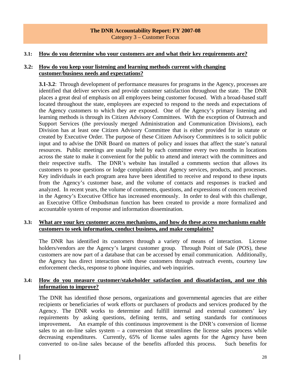#### **The DNR Accountability Report: FY 2007-08**  Category 3 – Customer Focus

#### **3.1: How do you determine who your customers are and what their key requirements are?**

#### **3.2: How do you keep your listening and learning methods current with changing customer/business needs and expectations?**

 **3.1-3.2**: Through development of performance measures for programs in the Agency, processes are identified that deliver services and provide customer satisfaction throughout the state. The DNR places a great deal of emphasis on all employees being customer focused. With a broad-based staff located throughout the state, employees are expected to respond to the needs and expectations of the Agency customers to which they are exposed. One of the Agency's primary listening and learning methods is through its Citizen Advisory Committees. With the exception of Outreach and Support Services (the previously merged Administration and Communication Divisions), each Division has at least one Citizen Advisory Committee that is either provided for in statute or created by Executive Order. The purpose of these Citizen Advisory Committees is to solicit public input and to advise the DNR Board on matters of policy and issues that affect the state's natural resources. Public meetings are usually held by each committee every two months in locations across the state to make it convenient for the public to attend and interact with the committees and their respective staffs. The DNR's website has installed a comments section that allows its customers to pose questions or lodge complaints about Agency services, products, and processes. Key individuals in each program area have been identified to receive and respond to these inputs from the Agency's customer base, and the volume of contacts and responses is tracked and analyzed. In recent years, the volume of comments, questions, and expressions of concern received in the Agency's Executive Office has increased enormously. In order to deal with this challenge, an Executive Office Ombudsman function has been created to provide a more formalized and accountable system of response and information dissemination.

#### **3.3: What are your key customer access mechanisms, and how do these access mechanisms enable customers to seek information, conduct business, and make complaints?**

The DNR has identified its customers through a variety of means of interaction. License holders/vendors are the Agency's largest customer group. Through Point of Sale (POS), these customers are now part of a database that can be accessed by email communication. Additionally, the Agency has direct interaction with these customers through outreach events, courtesy law enforcement checks, response to phone inquiries, and web inquiries.

#### **3.4: How do you measure customer/stakeholder satisfaction and dissatisfaction, and use this information to improve?**

 The DNR has identified those persons, organizations and governmental agencies that are either recipients or beneficiaries of work efforts or purchasers of products and services produced by the Agency. The DNR works to determine and fulfill internal and external customers' key requirements by asking questions, defining terms, and setting standards for continuous improvement**.** An example of this continuous improvement is the DNR's conversion of license sales to an on-line sales system  $-$  a conversion that streamlines the license sales process while decreasing expenditures. Currently, 65% of license sales agents for the Agency have been converted to on-line sales because of the benefits afforded this process. Such benefits for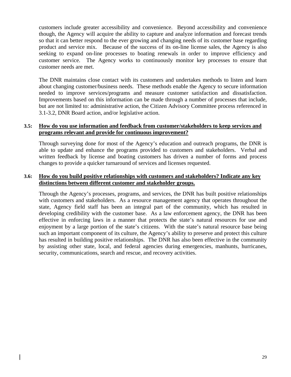customers include greater accessibility and convenience. Beyond accessibility and convenience though, the Agency will acquire the ability to capture and analyze information and forecast trends so that it can better respond to the ever growing and changing needs of its customer base regarding product and service mix. Because of the success of its on-line license sales, the Agency is also seeking to expand on-line processes to boating renewals in order to improve efficiency and customer service. The Agency works to continuously monitor key processes to ensure that customer needs are met.

 The DNR maintains close contact with its customers and undertakes methods to listen and learn about changing customer/business needs. These methods enable the Agency to secure information needed to improve services/programs and measure customer satisfaction and dissatisfaction. Improvements based on this information can be made through a number of processes that include, but are not limited to: administrative action, the Citizen Advisory Committee process referenced in 3.1-3.2, DNR Board action, and/or legislative action.

#### **3.5: How do you use information and feedback from customer/stakeholders to keep services and programs relevant and provide for continuous improvement?**

Through surveying done for most of the Agency's education and outreach programs, the DNR is able to update and enhance the programs provided to customers and stakeholders. Verbal and written feedback by license and boating customers has driven a number of forms and process changes to provide a quicker turnaround of services and licenses requested.

#### **3.6: How do you build positive relationships with customers and stakeholders? Indicate any key distinctions between different customer and stakeholder groups.**

 Through the Agency's processes, programs, and services, the DNR has built positive relationships with customers and stakeholders. As a resource management agency that operates throughout the state, Agency field staff has been an integral part of the community, which has resulted in developing credibility with the customer base. As a law enforcement agency, the DNR has been effective in enforcing laws in a manner that protects the state's natural resources for use and enjoyment by a large portion of the state's citizens. With the state's natural resource base being such an important component of its culture, the Agency's ability to preserve and protect this culture has resulted in building positive relationships. The DNR has also been effective in the community by assisting other state, local, and federal agencies during emergencies, manhunts, hurricanes, security, communications, search and rescue, and recovery activities.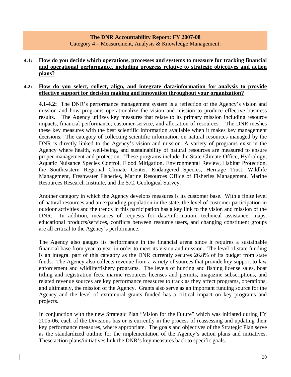#### **The DNR Accountability Report: FY 2007-08**  Category 4 – Measurement, Analysis & Knowledge Management:

#### **4.1: How do you decide which operations, processes and systems to measure for tracking financial and operational performance, including progress relative to strategic objectives and action plans?**

#### **4.2: How do you select, collect, align, and integrate data/information for analysis to provide effective support for decision making and innovation throughout your organization?**

**4.1-4.2:** The DNR's performance management system is a reflection of the Agency's vision and mission and how programs operationalize the vision and mission to produce effective business results. The Agency utilizes key measures that relate to its primary mission including resource impacts, financial performance, customer service, and allocation of resources. The DNR meshes these key measures with the best scientific information available when it makes key management decisions. The category of collecting scientific information on natural resources managed by the DNR is directly linked to the Agency's vision and mission. A variety of programs exist in the Agency where health, well-being, and sustainability of natural resources are measured to ensure proper management and protection. These programs include the State Climate Office, Hydrology, Aquatic Nuisance Species Control, Flood Mitigation, Environmental Review, Habitat Protection, the Southeastern Regional Climate Center, Endangered Species, Heritage Trust, Wildlife Management, Freshwater Fisheries, Marine Resources Office of Fisheries Management, Marine Resources Research Institute, and the S.C. Geological Survey.

 Another category in which the Agency develops measures is its customer base. With a finite level of natural resources and an expanding population in the state, the level of customer participation in outdoor activities and the trends in this participation has a key link to the vision and mission of the DNR. In addition, measures of requests for data/information, technical assistance, maps, educational products/services, conflicts between resource users, and changing constituent groups are all critical to the Agency's performance.

 The Agency also gauges its performance in the financial arena since it requires a sustainable financial base from year to year in order to meet its vision and mission. The level of state funding is an integral part of this category as the DNR currently secures 26.8% of its budget from state funds. The Agency also collects revenue from a variety of sources that provide key support to law enforcement and wildlife/fishery programs. The levels of hunting and fishing license sales, boat titling and registration fees, marine resources licenses and permits, magazine subscriptions, and related revenue sources are key performance measures to track as they affect programs, operations, and ultimately, the mission of the Agency. Grants also serve as an important funding source for the Agency and the level of extramural grants funded has a critical impact on key programs and projects.

 In conjunction with the new Strategic Plan "Vision for the Future" which was initiated during FY 2005-06, each of the Divisions has or is currently in the process of reassessing and updating their key performance measures, where appropriate. The goals and objectives of the Strategic Plan serve as the standardized outline for the implementation of the Agency's action plans and initiatives. These action plans/initiatives link the DNR's key measures back to specific goals.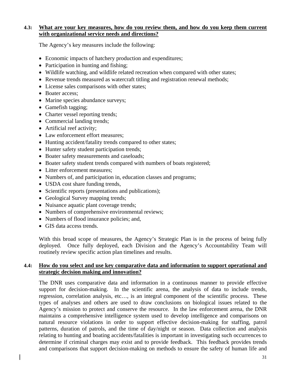#### **4.3: What are your key measures, how do you review them, and how do you keep them current with organizational service needs and directions?**

The Agency's key measures include the following:

- Economic impacts of hatchery production and expenditures;
- Participation in hunting and fishing;
- Wildlife watching, and wildlife related recreation when compared with other states;
- Revenue trends measured as watercraft titling and registration renewal methods;
- License sales comparisons with other states;
- Boater access:
- Marine species abundance surveys;
- Gamefish tagging;
- Charter vessel reporting trends;
- Commercial landing trends;
- Artificial reef activity;
- Law enforcement effort measures;
- Hunting accident/fatality trends compared to other states;
- Hunter safety student participation trends;
- Boater safety measurements and caseloads;
- Boater safety student trends compared with numbers of boats registered;
- Litter enforcement measures;
- Numbers of, and participation in, education classes and programs;
- USDA cost share funding trends,
- Scientific reports (presentations and publications);
- Geological Survey mapping trends;
- Nuisance aquatic plant coverage trends;
- Numbers of comprehensive environmental reviews;
- Numbers of flood insurance policies; and,
- GIS data access trends.

 With this broad scope of measures, the Agency's Strategic Plan is in the process of being fully deployed. Once fully deployed, each Division and the Agency's Accountability Team will routinely review specific action plan timelines and results.

#### **4.4: How do you select and use key comparative data and information to support operational and strategic decision making and innovation?**

The DNR uses comparative data and information in a continuous manner to provide effective support for decision-making. In the scientific arena, the analysis of data to include trends, regression, correlation analysis, etc…, is an integral component of the scientific process. These types of analyses and others are used to draw conclusions on biological issues related to the Agency's mission to protect and conserve the resource. In the law enforcement arena, the DNR maintains a comprehensive intelligence system used to develop intelligence and comparisons on natural resource violations in order to support effective decision-making for staffing, patrol patterns, duration of patrols, and the time of day/night or season. Data collection and analysis relating to hunting and boating accidents/fatalities is important in investigating such occurrences to determine if criminal charges may exist and to provide feedback. This feedback provides trends and comparisons that support decision-making on methods to ensure the safety of human life and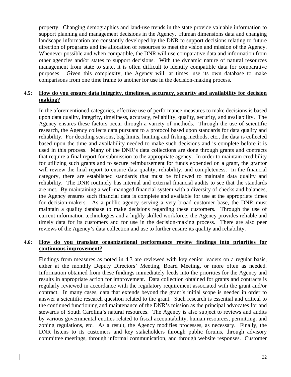property. Changing demographics and land-use trends in the state provide valuable information to support planning and management decisions in the Agency. Human dimensions data and changing landscape information are constantly developed by the DNR to support decisions relating to future direction of programs and the allocation of resources to meet the vision and mission of the Agency. Whenever possible and when compatible, the DNR will use comparative data and information from other agencies and/or states to support decisions. With the dynamic nature of natural resources management from state to state, it is often difficult to identify compatible data for comparative purposes. Given this complexity, the Agency will, at times, use its own database to make comparisons from one time frame to another for use in the decision-making process.

#### **4.5: How do you ensure data integrity, timeliness, accuracy, security and availability for decision making?**

 In the aforementioned categories, effective use of performance measures to make decisions is based upon data quality, integrity, timeliness, accuracy, reliability, quality, security, and availability. The Agency ensures these factors occur through a variety of methods. Through the use of scientific research, the Agency collects data pursuant to a protocol based upon standards for data quality and reliability. For deciding seasons, bag limits, hunting and fishing methods, etc., the data is collected based upon the time and availability needed to make such decisions and is complete before it is used in this process. Many of the DNR's data collections are done through grants and contracts that require a final report for submission to the appropriate agency. In order to maintain credibility for utilizing such grants and to secure reimbursement for funds expended on a grant, the grantor will review the final report to ensure data quality, reliability, and completeness. In the financial category, there are established standards that must be followed to maintain data quality and reliability. The DNR routinely has internal and external financial audits to see that the standards are met. By maintaining a well-managed financial system with a diversity of checks and balances, the Agency ensures such financial data is complete and available for use at the appropriate times for decision-makers. As a public agency serving a very broad customer base, the DNR must maintain a quality database to make decisions regarding these customers. Through the use of current information technologies and a highly skilled workforce, the Agency provides reliable and timely data for its customers and for use in the decision-making process. There are also peer reviews of the Agency's data collection and use to further ensure its quality and reliability.

#### **4.6: How do you translate organizational performance review findings into priorities for continuous improvement?**

 Findings from measures as noted in 4.3 are reviewed with key senior leaders on a regular basis, either at the monthly Deputy Directors' Meeting, Board Meeting, or more often as needed. Information obtained from these findings immediately feeds into the priorities for the Agency and results in appropriate action for improvement. Data collection obtained for grants and contracts is regularly reviewed in accordance with the regulatory requirement associated with the grant and/or contract. In many cases, data that extends beyond the grant's initial scope is needed in order to answer a scientific research question related to the grant. Such research is essential and critical to the continued functioning and maintenance of the DNR's mission as the principal advocates for and stewards of South Carolina's natural resources. The Agency is also subject to reviews and audits by various governmental entities related to fiscal accountability, human resources, permitting, and zoning regulations, etc. As a result, the Agency modifies processes, as necessary. Finally, the DNR listens to its customers and key stakeholders through public forums, through advisory committee meetings, through informal communication, and through website responses. Customer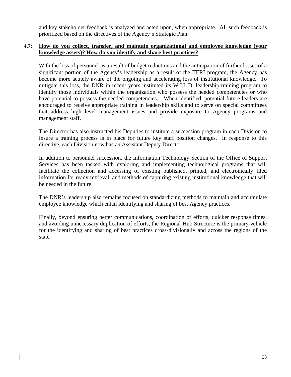and key stakeholder feedback is analyzed and acted upon, when appropriate. All such feedback is prioritized based on the directives of the Agency's Strategic Plan.

#### **4.7: How do you collect, transfer, and maintain organizational and employee knowledge (your knowledge assets)? How do you identify and share best practices?**

 With the loss of personnel as a result of budget reductions and the anticipation of further losses of a significant portion of the Agency's leadership as a result of the TERI program, the Agency has become more acutely aware of the ongoing and accelerating loss of institutional knowledge. To mitigate this loss, the DNR in recent years instituted its W.I.L.D. leadership-training program to identify those individuals within the organization who possess the needed competencies or who have potential to possess the needed competencies. When identified, potential future leaders are encouraged to receive appropriate training in leadership skills and to serve on special committees that address high level management issues and provide exposure to Agency programs and management staff.

 The Director has also instructed his Deputies to institute a succession program in each Division to insure a training process is in place for future key staff position changes. In response to this directive, each Division now has an Assistant Deputy Director.

 In addition to personnel succession, the Information Technology Section of the Office of Support Services has been tasked with exploring and implementing technological programs that will facilitate the collection and accessing of existing published, printed, and electronically filed information for ready retrieval, and methods of capturing existing institutional knowledge that will be needed in the future.

 The DNR's leadership also remains focused on standardizing methods to maintain and accumulate employee knowledge which entail identifying and sharing of best Agency practices.

 Finally, beyond ensuring better communications, coordination of efforts, quicker response times, and avoiding unnecessary duplication of efforts, the Regional Hub Structure is the primary vehicle for the identifying and sharing of best practices cross-divisionally and across the regions of the state.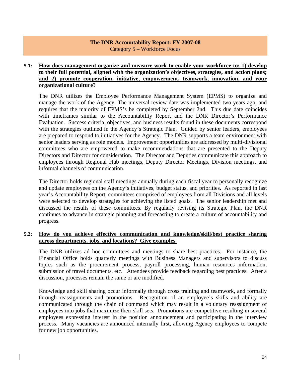#### **The DNR Accountability Report: FY 2007-08**  Category 5 – Workforce Focus

#### **5.1: How does management organize and measure work to enable your workforce to: 1) develop to their full potential, aligned with the organization's objectives, strategies, and action plans; and 2) promote cooperation, initiative, empowerment, teamwork, innovation, and your organizational culture?**

The DNR utilizes the Employee Performance Management System (EPMS) to organize and manage the work of the Agency. The universal review date was implemented two years ago, and requires that the majority of EPMS's be completed by September 2nd. This due date coincides with timeframes similar to the Accountability Report and the DNR Director's Performance Evaluation. Success criteria, objectives, and business results found in these documents correspond with the strategies outlined in the Agency's Strategic Plan. Guided by senior leaders, employees are prepared to respond to initiatives for the Agency. The DNR supports a team environment with senior leaders serving as role models. Improvement opportunities are addressed by multi-divisional committees who are empowered to make recommendations that are presented to the Deputy Directors and Director for consideration. The Director and Deputies communicate this approach to employees through Regional Hub meetings, Deputy Director Meetings, Division meetings, and informal channels of communication.

The Director holds regional staff meetings annually during each fiscal year to personally recognize and update employees on the Agency's initiatives, budget status, and priorities. As reported in last year's Accountability Report, committees comprised of employees from all Divisions and all levels were selected to develop strategies for achieving the listed goals. The senior leadership met and discussed the results of these committees. By regularly revising its Strategic Plan, the DNR continues to advance in strategic planning and forecasting to create a culture of accountability and progress.

#### **5.2: How do you achieve effective communication and knowledge/skill/best practice sharing across departments, jobs, and locations? Give examples.**

 The DNR utilizes ad hoc committees and meetings to share best practices. For instance, the Financial Office holds quarterly meetings with Business Managers and supervisors to discuss topics such as the procurement process, payroll processing, human resources information, submission of travel documents, etc. Attendees provide feedback regarding best practices. After a discussion, processes remain the same or are modified.

 Knowledge and skill sharing occur informally through cross training and teamwork, and formally through reassignments and promotions. Recognition of an employee's skills and ability are communicated through the chain of command which may result in a voluntary reassignment of employees into jobs that maximize their skill sets. Promotions are competitive resulting in several employees expressing interest in the position announcement and participating in the interview process. Many vacancies are announced internally first, allowing Agency employees to compete for new job opportunities.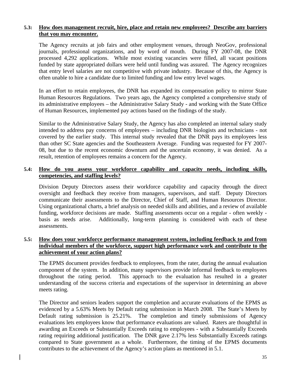#### **5.3: How does management recruit, hire, place and retain new employees? Describe any barriers that you may encounter.**

 The Agency recruits at job fairs and other employment venues, through NeoGov, professional journals, professional organizations, and by word of mouth. During FY 2007-08, the DNR processed 4,292 applications. While most existing vacancies were filled, all vacant positions funded by state appropriated dollars were held until funding was assured. The Agency recognizes that entry level salaries are not competitive with private industry. Because of this, the Agency is often unable to hire a candidate due to limited funding and low entry level wages.

 In an effort to retain employees, the DNR has expanded its compensation policy to mirror State Human Resources Regulations. Two years ago, the Agency completed a comprehensive study of its administrative employees – the Administrative Salary Study - and working with the State Office of Human Resources, implemented pay actions based on the findings of the study.

 Similar to the Administrative Salary Study, the Agency has also completed an internal salary study intended to address pay concerns of employees – including DNR biologists and technicians - not covered by the earlier study. This internal study revealed that the DNR pays its employees less than other SC State agencies and the Southeastern Average. Funding was requested for FY 2007- 08, but due to the recent economic downturn and the uncertain economy, it was denied. As a result, retention of employees remains a concern for the Agency.

#### **5.4: How do you assess your workforce capability and capacity needs, including skills, competencies, and staffing levels?**

 Division Deputy Directors assess their workforce capability and capacity through the direct oversight and feedback they receive from managers, supervisors, and staff. Deputy Directors communicate their assessments to the Director, Chief of Staff, and Human Resources Director. Using organizational charts, a brief analysis on needed skills and abilities, and a review of available funding, workforce decisions are made. Staffing assessments occur on a regular - often weekly basis as needs arise. Additionally, long-term planning is considered with each of these assessments.

#### **5.5: How does your workforce performance management system, including feedback to and from individual members of the workforce, support high performance work and contribute to the achievement of your action plans?**

 The EPMS document provides feedback to employees, from the rater, during the annual evaluation component of the system. In addition, many supervisors provide informal feedback to employees throughout the rating period. This approach to the evaluation has resulted in a greater understanding of the success criteria and expectations of the supervisor in determining an above meets rating.

 The Director and seniors leaders support the completion and accurate evaluations of the EPMS as evidenced by a 5.63% Meets by Default rating submission in March 2008. The State's Meets by Default rating submission is 25.21%. The completion and timely submissions of Agency evaluations lets employees know that performance evaluations are valued. Raters are thoughtful in awarding an Exceeds or Substantially Exceeds rating to employees - with a Substantially Exceeds rating requiring additional justification. The DNR gave 2.17% less Substantially Exceeds ratings compared to State government as a whole. Furthermore, the timing of the EPMS documents contributes to the achievement of the Agency's action plans as mentioned in 5.1.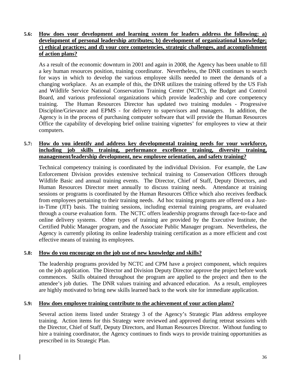#### **5.6: How does your development and learning system for leaders address the following: a) development of personal leadership attributes; b) development of organizational knowledge; c) ethical practices; and d) your core competencies, strategic challenges, and accomplishment of action plans?**

 As a result of the economic downturn in 2001 and again in 2008, the Agency has been unable to fill a key human resources position, training coordinator. Nevertheless, the DNR continues to search for ways in which to develop the various employee skills needed to meet the demands of a changing workplace. As an example of this, the DNR utilizes the training offered by the US Fish and Wildlife Service National Conservation Training Center (NCTC), the Budget and Control Board, and various professional organizations which provide leadership and core competency training. The Human Resources Director has updated two training modules - Progressive Discipline/Grievance and EPMS - for delivery to supervisors and managers. In addition, the Agency is in the process of purchasing computer software that will provide the Human Resources Office the capability of developing brief online training vignettes' for employees to view at their computers.

#### **5.7: How do you identify and address key developmental training needs for your workforce, including job skills training, performance excellence training, diversity training, management/leadership development, new employee orientation, and safety training?**

Technical competency training is coordinated by the individual Division. For example, the Law Enforcement Division provides extensive technical training to Conservation Officers through Wildlife Basic and annual training events. The Director, Chief of Staff, Deputy Directors, and Human Resources Director meet annually to discuss training needs. Attendance at training sessions or programs is coordinated by the Human Resources Office which also receives feedback from employees pertaining to their training needs. Ad hoc training programs are offered on a Justin-Time (JIT) basis. The training sessions, including external training programs, are evaluated through a course evaluation form. The NCTC offers leadership programs through face-to-face and online delivery systems. Other types of training are provided by the Executive Institute, the Certified Public Manager program, and the Associate Public Manager program. Nevertheless, the Agency is currently piloting its online leadership training certification as a more efficient and cost effective means of training its employees.

#### **5.8: How do you encourage on the job use of new knowledge and skills?**

 The leadership programs provided by NCTC and CPM have a project component, which requires on the job application. The Director and Division Deputy Director approve the project before work commences. Skills obtained throughout the program are applied to the project and then to the attendee's job duties. The DNR values training and advanced education. As a result, employees are highly motivated to bring new skills learned back to the work site for immediate application.

#### **5.9: How does employee training contribute to the achievement of your action plans?**

Several action items listed under Strategy 3 of the Agency's Strategic Plan address employee training. Action items for this Strategy were reviewed and approved during retreat sessions with the Director, Chief of Staff, Deputy Directors, and Human Resources Director. Without funding to hire a training coordinator, the Agency continues to finds ways to provide training opportunities as prescribed in its Strategic Plan.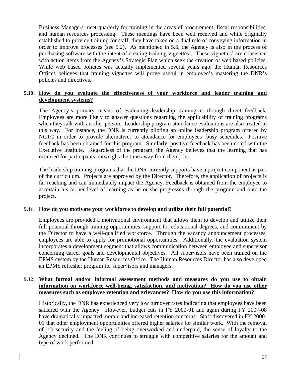Business Managers meet quarterly for training in the areas of procurement, fiscal responsibilities, and human resources processing. These meetings have been well received and while originally established to provide training for staff, they have taken on a dual role of conveying information in order to improve processes (see 5.2). As mentioned in 5.6, the Agency is also in the process of purchasing software with the intent of creating training vignettes'. These vignettes' are consistent with action items from the Agency's Strategic Plan which seek the creation of web based policies. While web based policies was actually implemented several years ago, the Human Resources Offices believes that training vignettes will prove useful in employee's mastering the DNR's policies and directives.

#### **5.10: How do you evaluate the effectiveness of your workforce and leader training and development systems?**

 The Agency's primary means of evaluating leadership training is through direct feedback. Employees are more likely to answer questions regarding the applicability of training programs when they talk with another person. Leadership program attendance evaluations are also treated in this way. For instance, the DNR is currently piloting an online leadership program offered by NCTC in order to provide alternatives to attendance for employees' busy schedules. Positive feedback has been obtained for this program. Similarly, positive feedback has been noted with the Executive Institute. Regardless of the program, the Agency believes that the learning that has occurred for participants outweighs the time away from their jobs.

 The leadership training programs that the DNR currently supports have a project component as part of the curriculum. Projects are approved by the Director. Therefore, the application of projects is far reaching and can immediately impact the Agency. Feedback is obtained from the employee to ascertain his or her level of learning as he or she progresses through the program and onto the project.

#### **5.11: How do you motivate your workforce to develop and utilize their full potential?**

Employees are provided a motivational environment that allows them to develop and utilize their full potential through training opportunities, support for educational degrees, and commitment by the Director to have a well-qualified workforce. Through the vacancy announcement processes, employees are able to apply for promotional opportunities. Additionally, the evaluation system incorporates a development segment that allows communication between employee and supervisor concerning career goals and developmental objectives. All supervisors have been trained on the EPMS system by the Human Resources Office. The Human Resources Director has also developed an EPMS refresher program for supervisors and managers.

#### **5.12: What formal and/or informal assessment methods and measures do you use to obtain information on workforce well-being, satisfaction, and motivation? How do you use other measures such as employee retention and grievances? How do you use this information?**

Historically, the DNR has experienced very low turnover rates indicating that employees have been satisfied with the Agency. However, budget cuts in FY 2000-01 and again during FY 2007-08 have dramatically impacted morale and increased retention concerns. Staff discovered in FY 2000- 01 that other employment opportunities offered higher salaries for similar work. With the removal of job security and the feeling of being overworked and underpaid, the sense of loyalty to the Agency declined. The DNR continues to struggle with competitive salaries for the amount and type of work performed.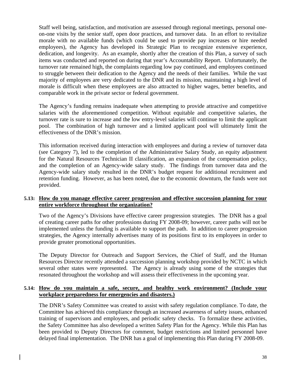Staff well being, satisfaction, and motivation are assessed through regional meetings, personal oneon-one visits by the senior staff, open door practices, and turnover data. In an effort to revitalize morale with no available funds (which could be used to provide pay increases or hire needed employees), the Agency has developed its Strategic Plan to recognize extensive experience, dedication, and longevity. As an example, shortly after the creation of this Plan, a survey of such items was conducted and reported on during that year's Accountability Report. Unfortunately, the turnover rate remained high, the complaints regarding low pay continued, and employees continued to struggle between their dedication to the Agency and the needs of their families. While the vast majority of employees are very dedicated to the DNR and its mission, maintaining a high level of morale is difficult when these employees are also attracted to higher wages, better benefits, and comparable work in the private sector or federal government.

The Agency's funding remains inadequate when attempting to provide attractive and competitive salaries with the aforementioned competition. Without equitable and competitive salaries, the turnover rate is sure to increase and the low entry-level salaries will continue to limit the applicant pool. The combination of high turnover and a limited applicant pool will ultimately limit the effectiveness of the DNR's mission.

This information received during interaction with employees and during a review of turnover data (see Category 7), led to the completion of the Administrative Salary Study, an equity adjustment for the Natural Resources Technician II classification, an expansion of the compensation policy, and the completion of an Agency-wide salary study. The findings from turnover data and the Agency-wide salary study resulted in the DNR's budget request for additional recruitment and retention funding. However, as has been noted, due to the economic downturn, the funds were not provided.

#### **5.13: How do you manage effective career progression and effective succession planning for your entire workforce throughout the organization?**

 Two of the Agency's Divisions have effective career progression strategies. The DNR has a goal of creating career paths for other professions during FY 2008-09; however, career paths will not be implemented unless the funding is available to support the path. In addition to career progression strategies, the Agency internally advertises many of its positions first to its employees in order to provide greater promotional opportunities.

 The Deputy Director for Outreach and Support Services, the Chief of Staff, and the Human Resources Director recently attended a succession planning workshop provided by NCTC in which several other states were represented. The Agency is already using some of the strategies that resonated throughout the workshop and will assess their effectiveness in the upcoming year.

#### **5.14: How do you maintain a safe, secure, and healthy work environment? (Include your workplace preparedness for emergencies and disasters.)**

The DNR's Safety Committee was created to assist with safety regulation compliance. To date, the Committee has achieved this compliance through an increased awareness of safety issues, enhanced training of supervisors and employees, and periodic safety checks. To formalize these activities, the Safety Committee has also developed a written Safety Plan for the Agency. While this Plan has been provided to Deputy Directors for comment, budget restrictions and limited personnel have delayed final implementation. The DNR has a goal of implementing this Plan during FY 2008-09.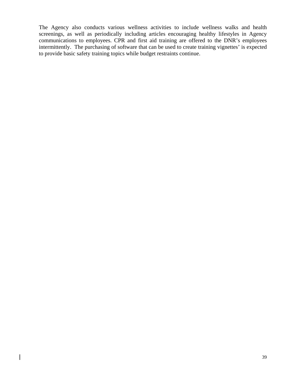The Agency also conducts various wellness activities to include wellness walks and health screenings, as well as periodically including articles encouraging healthy lifestyles in Agency communications to employees. CPR and first aid training are offered to the DNR's employees intermittently. The purchasing of software that can be used to create training vignettes' is expected to provide basic safety training topics while budget restraints continue.

 $\overline{\phantom{a}}$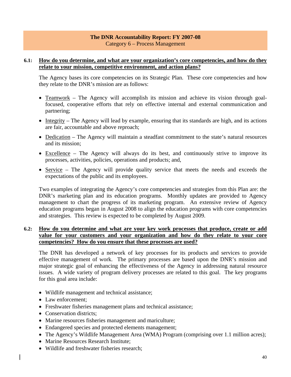#### **The DNR Accountability Report: FY 2007-08**  Category 6 – Process Management

#### **6.1: How do you determine, and what are your organization's core competencies, and how do they relate to your mission, competitive environment, and action plans?**

The Agency bases its core competencies on its Strategic Plan. These core competencies and how they relate to the DNR's mission are as follows:

- Teamwork The Agency will accomplish its mission and achieve its vision through goalfocused, cooperative efforts that rely on effective internal and external communication and partnering;
- Integrity The Agency will lead by example, ensuring that its standards are high, and its actions are fair, accountable and above reproach;
- Dedication The Agency will maintain a steadfast commitment to the state's natural resources and its mission;
- Excellence The Agency will always do its best, and continuously strive to improve its processes, activities, policies, operations and products; and,
- Service The Agency will provide quality service that meets the needs and exceeds the expectations of the public and its employees.

Two examples of integrating the Agency's core competencies and strategies from this Plan are: the DNR's marketing plan and its education programs. Monthly updates are provided to Agency management to chart the progress of its marketing program. An extensive review of Agency education programs began in August 2008 to align the education programs with core competencies and strategies. This review is expected to be completed by August 2009.

#### **6.2: How do you determine and what are your key work processes that produce, create or add value for your customers and your organization and how do they relate to your core competencies? How do you ensure that these processes are used?**

 The DNR has developed a network of key processes for its products and services to provide effective management of work. The primary processes are based upon the DNR's mission and major strategic goal of enhancing the effectiveness of the Agency in addressing natural resource issues. A wide variety of program delivery processes are related to this goal. The key programs for this goal area include:

- Wildlife management and technical assistance;
- Law enforcement:
- Freshwater fisheries management plans and technical assistance;
- Conservation districts:
- Marine resources fisheries management and mariculture;
- Endangered species and protected elements management;
- The Agency's Wildlife Management Area (WMA) Program (comprising over 1.1 million acres);
- Marine Resources Research Institute;
- Wildlife and freshwater fisheries research;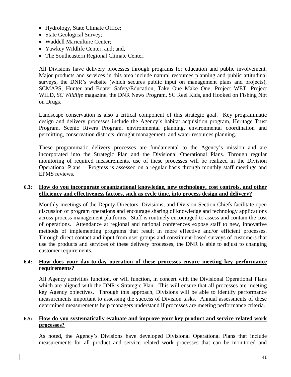- Hydrology, State Climate Office;
- State Geological Survey;
- Waddell Mariculture Center:
- Yawkey Wildlife Center, and; and,
- The Southeastern Regional Climate Center.

 All Divisions have delivery processes through programs for education and public involvement. Major products and services in this area include natural resources planning and public attitudinal surveys, the DNR's website (which secures public input on management plans and projects), SCMAPS, Hunter and Boater Safety/Education, Take One Make One, Project WET, Project WILD, *SC Wildlife* magazine, the DNR News Program, SC Reel Kids, and Hooked on Fishing Not on Drugs.

 Landscape conservation is also a critical component of this strategic goal. Key programmatic design and delivery processes include the Agency's habitat acquisition program, Heritage Trust Program, Scenic Rivers Program, environmental planning, environmental coordination and permitting, conservation districts, drought management, and water resources planning.

 These programmatic delivery processes are fundamental to the Agency's mission and are incorporated into the Strategic Plan and the Divisional Operational Plans. Through regular monitoring of required measurements, use of these processes will be realized in the Division Operational Plans. Progress is assessed on a regular basis through monthly staff meetings and EPMS reviews.

#### **6.3: How do you incorporate organizational knowledge, new technology, cost controls, and other efficiency and effectiveness factors, such as cycle time, into process design and delivery?**

Monthly meetings of the Deputy Directors, Divisions, and Division Section Chiefs facilitate open discussion of program operations and encourage sharing of knowledge and technology applications across process management platforms. Staff is routinely encouraged to assess and contain the cost of operations. Attendance at regional and national conferences expose staff to new, innovative methods of implementing programs that result in more effective and/or efficient processes. Through direct contact and input from user groups and constituent-based surveys of customers that use the products and services of these delivery processes, the DNR is able to adjust to changing customer requirements.

#### **6.4: How does your day-to-day operation of these processes ensure meeting key performance requirements?**

All Agency activities function, or will function, in concert with the Divisional Operational Plans which are aligned with the DNR's Strategic Plan. This will ensure that all processes are meeting key Agency objectives. Through this approach, Divisions will be able to identify performance measurements important to assessing the success of Division tasks. Annual assessments of these determined measurements help managers understand if processes are meeting performance criteria.

#### **6.5: How do you systematically evaluate and improve your key product and service related work processes?**

As noted, the Agency's Divisions have developed Divisional Operational Plans that include measurements for all product and service related work processes that can be monitored and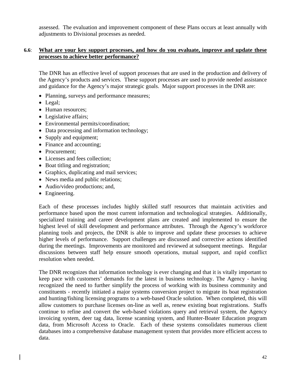assessed. The evaluation and improvement component of these Plans occurs at least annually with adjustments to Divisional processes as needed.

#### **6.6**: **What are your key support processes, and how do you evaluate, improve and update these processes to achieve better performance?**

The DNR has an effective level of support processes that are used in the production and delivery of the Agency's products and services. These support processes are used to provide needed assistance and guidance for the Agency's major strategic goals. Major support processes in the DNR are:

- Planning, surveys and performance measures;
- Legal;
- Human resources;
- Legislative affairs:
- Environmental permits/coordination;
- Data processing and information technology;
- Supply and equipment;
- Finance and accounting;
- Procurement:
- Licenses and fees collection;
- Boat titling and registration;
- Graphics, duplicating and mail services;
- News media and public relations;
- Audio/video productions; and,
- Engineering.

 Each of these processes includes highly skilled staff resources that maintain activities and performance based upon the most current information and technological strategies. Additionally, specialized training and career development plans are created and implemented to ensure the highest level of skill development and performance attributes. Through the Agency's workforce planning tools and projects, the DNR is able to improve and update these processes to achieve higher levels of performance. Support challenges are discussed and corrective actions identified during the meetings. Improvements are monitored and reviewed at subsequent meetings. Regular discussions between staff help ensure smooth operations, mutual support, and rapid conflict resolution when needed.

 The DNR recognizes that information technology is ever changing and that it is vitally important to keep pace with customers' demands for the latest in business technology. The Agency - having recognized the need to further simplify the process of working with its business community and constituents - recently initiated a major systems conversion project to migrate its boat registration and hunting/fishing licensing programs to a web-based Oracle solution. When completed, this will allow customers to purchase licenses on-line as well as, renew existing boat registrations. Staffs continue to refine and convert the web-based violations query and retrieval system, the Agency invoicing system, deer tag data, license scanning system, and Hunter-Boater Education program data, from Microsoft Access to Oracle. Each of these systems consolidates numerous client databases into a comprehensive database management system that provides more efficient access to data.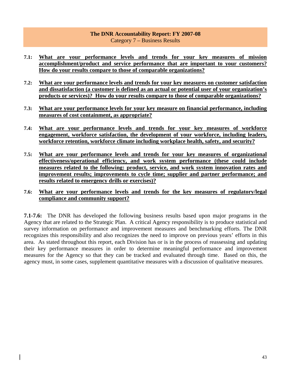#### **The DNR Accountability Report: FY 2007-08**  Category 7 – Business Results

- **7.1: What are your performance levels and trends for your key measures of mission accomplishment/product and service performance that are important to your customers? How do your results compare to those of comparable organizations?**
- **7.2: What are your performance levels and trends for your key measures on customer satisfaction and dissatisfaction (a customer is defined as an actual or potential user of your organization's products or services)? How do your results compare to those of comparable organizations?**
- **7.3: What are your performance levels for your key measure on financial performance, including measures of cost containment, as appropriate?**
- **7.4: What are your performance levels and trends for your key measures of workforce engagement, workforce satisfaction, the development of your workforce, including leaders, workforce retention, workforce climate including workplace health, safety, and security?**
- **7.5: What are your performance levels and trends for your key measures of organizational effectiveness/operational efficiency, and work system performance (these could include measures related to the following: product, service, and work system innovation rates and improvement results; improvements to cycle time; supplier and partner performance; and results related to emergency drills or exercises)?**
- **7.6: What are your performance levels and trends for the key measures of regulatory/legal compliance and community support?**

**7.1-7.6:** The DNR has developed the following business results based upon major programs in the Agency that are related to the Strategic Plan. A critical Agency responsibility is to produce statistical and survey information on performance and improvement measures and benchmarking efforts. The DNR recognizes this responsibility and also recognizes the need to improve on previous years' efforts in this area. As stated throughout this report, each Division has or is in the process of reassessing and updating their key performance measures in order to determine meaningful performance and improvement measures for the Agency so that they can be tracked and evaluated through time. Based on this, the agency must, in some cases, supplement quantitative measures with a discussion of qualitative measures.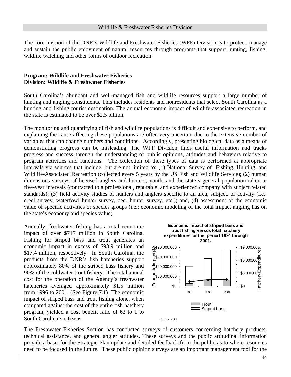The core mission of the DNR's Wildlife and Freshwater Fisheries (WFF) Division is to protect, manage and sustain the public enjoyment of natural resources through programs that support hunting, fishing, wildlife watching and other forms of outdoor recreation.

#### **Program: Wildlife and Freshwater Fisheries Division: Wildlife & Freshwater Fisheries**

South Carolina's abundant and well-managed fish and wildlife resources support a large number of hunting and angling constituents. This includes residents and nonresidents that select South Carolina as a hunting and fishing tourist destination. The annual economic impact of wildlife-associated recreation in the state is estimated to be over \$2.5 billion.

The monitoring and quantifying of fish and wildlife populations is difficult and expensive to perform, and explaining the cause affecting these populations are often very uncertain due to the extensive number of variables that can change numbers and conditions. Accordingly, presenting biological data as a means of demonstrating progress can be misleading. The WFF Division finds useful information and tracks progress and success through the understanding of public opinions, attitudes and behaviors relative to program activities and functions. The collection of these types of data is performed at appropriate intervals via sources that include, but are not limited to: (1) National Survey of Fishing, Hunting, and Wildlife-Associated Recreation (collected every 5 years by the US Fish and Wildlife Service); (2) human dimensions surveys of licensed anglers and hunters, youth, and the state's general population taken at five-year intervals (contracted to a professional, reputable, and experienced company with subject related standards); (3) field activity studies of hunters and anglers specific to an area, subject, or activity (i.e.: creel survey, waterfowl hunter survey, deer hunter survey, etc.); and, (4) assessment of the economic value of specific activities or species groups (i.e.: economic modeling of the total impact angling has on the state's economy and species value).

Annually, freshwater fishing has a total economic impact of over \$717 million in South Carolina. Fishing for striped bass and trout generates an economic impact in excess of \$93.9 million and \$17.4 million, respectively. In South Carolina, the products from the DNR's fish hatcheries support approximately 80% of the striped bass fishery and 90% of the coldwater trout fishery. The total annual cost for the operation of the Agency's freshwater hatcheries averaged approximately \$1.5 million from 1996 to 2001. (See Figure 7.1) The economic impact of striped bass and trout fishing alone, when compared against the cost of the entire fish hatchery program, yielded a cost benefit ratio of 62 to 1 to South Carolina's citizens. *Figure 7.1* 



The Freshwater Fisheries Section has conducted surveys of customers concerning hatchery products, technical assistance, and general angler attitudes. These surveys and the public attitudinal information provide a basis for the Strategic Plan update and detailed feedback from the public as to where resources need to be focused in the future. These public opinion surveys are an important management tool for the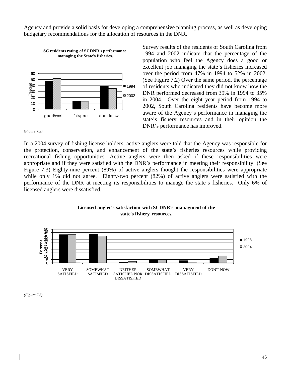Agency and provide a solid basis for developing a comprehensive planning process, as well as developing budgetary recommendations for the allocation of resources in the DNR.



Survey results of the residents of South Carolina from 1994 and 2002 indicate that the percentage of the population who feel the Agency does a good or excellent job managing the state's fisheries increased over the period from 47% in 1994 to 52% in 2002. (See Figure 7.2) Over the same period, the percentage of residents who indicated they did not know how the DNR performed decreased from 39% in 1994 to 35% in 2004. Over the eight year period from 1994 to 2002, South Carolina residents have become more aware of the Agency's performance in managing the state's fishery resources and in their opinion the DNR's performance has improved.

*(Figure 7.2)* 

In a 2004 survey of fishing license holders, active anglers were told that the Agency was responsible for the protection, conservation, and enhancement of the state's fisheries resources while providing recreational fishing opportunities. Active anglers were then asked if these responsibilities were appropriate and if they were satisfied with the DNR's performance in meeting their responsibility. (See Figure 7.3) Eighty-nine percent (89%) of active anglers thought the responsibilities were appropriate while only 1% did not agree. Eighty-two percent (82%) of active anglers were satisfied with the performance of the DNR at meeting its responsibilities to manage the state's fisheries. Only 6% of licensed anglers were dissatisfied.



#### **Licensed angler's satisfaction with SCDNR's managment of the state's fishery resources.**

*(Figure 7.3)*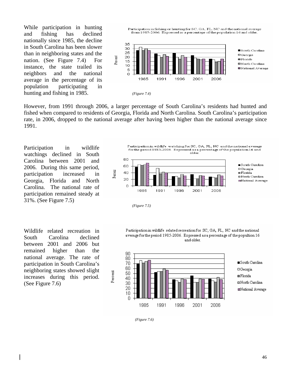While participation in hunting and fishing has declined nationally since 1985, the decline in South Carolina has been slower than in neighboring states and the nation. (See Figure 7.4) For instance, the state trailed its neighbors and the national average in the percentage of its population participating in hunting and fishing in 1985. *(Figure 7.4)* 

Participation in fishing or hunting for SC, GA, FL, NC and the national average from 1985-2006. Expressed as a percentage of the population 16 and older.



Percent

However, from 1991 through 2006, a larger percentage of South Carolina's residents had hunted and fished when compared to residents of Georgia, Florida and North Carolina. South Carolina's participation rate, in 2006, dropped to the national average after having been higher than the national average since 1991.

Participation in wildlife watchings declined in South Carolina between 2001 and 2006. During this same period, participation increased in Georgia, Florida and North Carolina. The national rate of participation remained steady at 31%. (See Figure 7.5)

Wildlife related recreation in South Carolina declined between 2001 and 2006 but remained higher than the national average. The rate of participation in South Carolina's neighboring states showed slight increases during this period. (See Figure 7.6)

Participation in wildlife watching for SC, GA, FL, NC and the national average for the period 1985-2006. Expressed as a percentage of the population 16 and older



 *(Figure 7.5)* 

Participation in wildlife related recreation for SC, GA, FL, NC and the national average for the period 1985-2006. Expressed as a percentage of the popultion 16 and older.



 *(Figure 7.6)*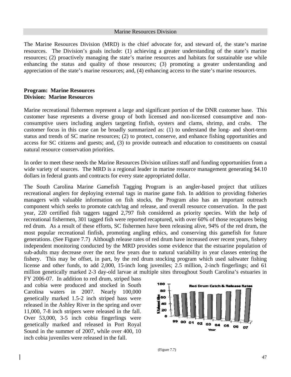#### Marine Resources Division

The Marine Resources Division (MRD) is the chief advocate for, and steward of, the state's marine resources. The Division's goals include: (1) achieving a greater understanding of the state's marine resources; (2) proactively managing the state's marine resources and habitats for sustainable use while enhancing the status and quality of those resources; (3) promoting a greater understanding and appreciation of the state's marine resources; and, (4) enhancing access to the state's marine resources.

#### **Program: Marine Resources Division: Marine Resources**

Marine recreational fishermen represent a large and significant portion of the DNR customer base. This customer base represents a diverse group of both licensed and non-licensed consumptive and nonconsumptive users including anglers targeting finfish, oysters and clams, shrimp, and crabs. The customer focus in this case can be broadly summarized as: (1) to understand the long- and short-term status and trends of SC marine resources; (2) to protect, conserve, and enhance fishing opportunities and access for SC citizens and guests; and, (3) to provide outreach and education to constituents on coastal natural resource conservation priorities.

In order to meet these needs the Marine Resources Division utilizes staff and funding opportunities from a wide variety of sources. The MRD is a regional leader in marine resource management generating \$4.10 dollars in federal grants and contracts for every state appropriated dollar.

The South Carolina Marine Gamefish Tagging Program is an angler-based project that utilizes recreational anglers for deploying external tags in marine game fish. In addition to providing fisheries managers with valuable information on fish stocks, the Program also has an important outreach component which seeks to promote catch/tag and release, and overall resource conservation. In the past year, 220 certified fish taggers tagged 2,797 fish considered as priority species. With the help of recreational fishermen, 301 tagged fish were reported recaptured, with over 60% of those recaptures being red drum. As a result of these efforts, SC fishermen have been releasing alive, 94% of the red drum, the most popular recreational finfish, promoting angling ethics, and conserving this gamefish for future generations. (See Figure 7.7) Although release rates of red drum have increased over recent years, fishery independent monitoring conducted by the MRD provides some evidence that the estuarine population of sub-adults may decrease over the next few years due to natural variability in year classes entering the fishery. This may be offset, in part, by the red drum stocking program which used saltwater fishing license and other funds, to add 2,000, 15-inch long juveniles; 2.5 million, 2-inch fingerlings; and 61 million genetically marked 2-3 day-old larvae at multiple sites throughout South Carolina's estuaries in

FY 2006-07. In addition to red drum, striped bass and cobia were produced and stocked in South Carolina waters in 2007. Nearly 100,000 genetically marked 1.5-2 inch striped bass were released in the Ashley River in the spring and over 11,000, 7-8 inch stripers were released in the fall. Over 53,000, 3-5 inch cobia fingerlings were genetically marked and released in Port Royal Sound in the summer of 2007, while over 400, 10 inch cobia juveniles were released in the fall.



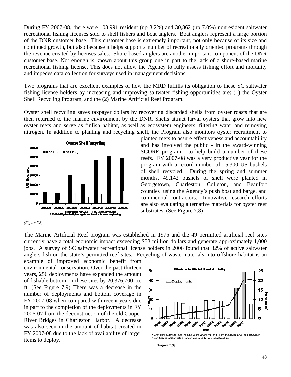During FY 2007-08, there were 103,991 resident (up 3.2%) and 30,862 (up 7.0%) nonresident saltwater recreational fishing licenses sold to shell fishers and boat anglers. Boat anglers represent a large portion of the DNR customer base. This customer base is extremely important, not only because of its size and continued growth, but also because it helps support a number of recreationally oriented programs through the revenue created by licenses sales. Shore-based anglers are another important component of the DNR customer base. Not enough is known about this group due in part to the lack of a shore-based marine recreational fishing license. This does not allow the Agency to fully assess fishing effort and mortality and impedes data collection for surveys used in management decisions.

Two programs that are excellent examples of how the MRD fulfills its obligation to these SC saltwater fishing license holders by increasing and improving saltwater fishing opportunities are: (1) the Oyster Shell Recycling Program, and the (2) Marine Artificial Reef Program.

Oyster shell recycling saves taxpayer dollars by recovering discarded shells from oyster roasts that are then returned to the marine environment by the DNR. Shells attract larval oysters that grow into new oyster reefs and serve as finfish habitat, as well as ecosystem engineers, filtering water and removing nitrogen. In addition to planting and recycling shell, the Program also monitors oyster recruitment to



*<sup>(</sup>Figure 7.8)* 

planted reefs to assure effectiveness and accountability and has involved the public - in the award-winning SCORE program - to help build a number of these reefs. FY 2007-08 was a very productive year for the program with a record number of 15,300 US bushels of shell recycled. During the spring and summer months, 49,142 bushels of shell were planted in Georgetown, Charleston, Colleton, and Beaufort counties using the Agency's push boat and barge, and commercial contractors. Innovative research efforts are also evaluating alternative materials for oyster reef substrates. (See Figure 7.8)

The Marine Artificial Reef program was established in 1975 and the 49 permitted artificial reef sites currently have a total economic impact exceeding \$83 million dollars and generate approximately 1,000 jobs. A survey of SC saltwater recreational license holders in 2006 found that 32% of active saltwater anglers fish on the state's permitted reef sites. Recycling of waste materials into offshore habitat is an

example of improved economic benefit from environmental conservation. Over the past thirteen years, 256 deployments have expanded the amount of fishable bottom on these sites by 20,376,700 cu. ft. (See Figure 7.9) There was a decrease in the number of deployments and bottom coverage in FY 2007-08 when compared with recent years due in part to the completion of the deployments in FY 2006-07 from the deconstruction of the old Cooper River Bridges in Charleston Harbor. A decrease was also seen in the amount of habitat created in FY 2007-08 due to the lack of availability of larger items to deploy. *(Figure 7.9)* 

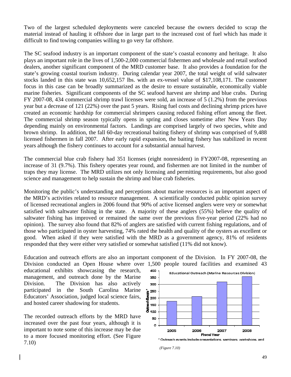Two of the largest scheduled deployments were canceled because the owners decided to scrap the material instead of hauling it offshore due in large part to the increased cost of fuel which has made it difficult to find towing companies willing to go very far offshore.

The SC seafood industry is an important component of the state's coastal economy and heritage. It also plays an important role in the lives of 1,500-2,000 commercial fishermen and wholesale and retail seafood dealers, another significant component of the MRD customer base. It also provides a foundation for the state's growing coastal tourism industry. During calendar year 2007, the total weight of wild saltwater stocks landed in this state was 10,652,157 lbs. with an ex-vessel value of \$17,108,171. The customer focus in this case can be broadly summarized as the desire to ensure sustainable, economically viable marine fisheries. Significant components of the SC seafood harvest are shrimp and blue crabs. During FY 2007-08, 434 commercial shrimp trawl licenses were sold, an increase of 5 (1.2%) from the previous year but a decrease of 121 (22%) over the past 5 years. Rising fuel costs and declining shrimp prices have created an economic hardship for commercial shrimpers causing reduced fishing effort among the fleet. The commercial shrimp season typically opens in spring and closes sometime after New Years Day depending mainly on environmental factors. Landings are comprised largely of two species, white and brown shrimp. In addition, the fall 60-day recreational baiting fishery of shrimp was comprised of 9,488 licensed fishermen in fall 2007. After early rapid expansion, the baiting fishery has stabilized in recent years although the fishery continues to account for a substantial annual harvest.

The commercial blue crab fishery had 351 licenses (eight nonresident) in FY2007-08, representing an increase of 31 (9.7%). This fishery operates year round, and fishermen are not limited in the number of traps they may license. The MRD utilizes not only licensing and permitting requirements, but also good science and management to help sustain the shrimp and blue crab fisheries.

Monitoring the public's understanding and perceptions about marine resources is an important aspect of the MRD's activities related to resource management. A scientifically conducted public opinion survey of licensed recreational anglers in 2006 found that 90% of active licensed anglers were very or somewhat satisfied with saltwater fishing in the state. A majority of these anglers (55%) believe the quality of saltwater fishing has improved or remained the same over the previous five-year period (22% had no opinion). The survey also found that 82% of anglers are satisfied with current fishing regulations, and of those who participated in oyster harvesting, 74% rated the health and quality of the oysters as excellent or good. When asked if they were satisfied with the MRD as a government agency, 81% of residents responded that they were either very satisfied or somewhat satisfied (11% did not know).

Education and outreach efforts are also an important component of the Division. In FY 2007-08, the Division conducted an Open House where over 1,500 people toured facilities and examined 43

educational exhibits showcasing the research, management, and outreach done by the Marine Division. The Division has also actively participated in the South Carolina Marine Educators' Association, judged local science fairs, and hosted career shadowing for students.

The recorded outreach efforts by the MRD have increased over the past four years, although it is important to note some of this increase may be due to a more focused monitoring effort. (See Figure 7.10)



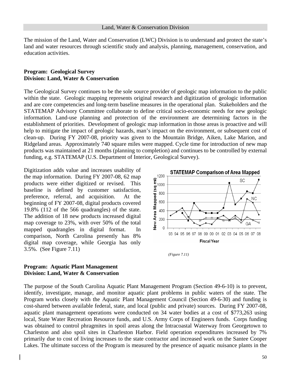The mission of the Land, Water and Conservation (LWC) Division is to understand and protect the state's land and water resources through scientific study and analysis, planning, management, conservation, and education activities.

#### **Program: Geological Survey Division: Land, Water & Conservation**

The Geological Survey continues to be the sole source provider of geologic map information to the public within the state. Geologic mapping represents original research and digitization of geologic information and are core competencies and long-term baseline measures in the operational plan. Stakeholders and the STATEMAP Advisory Committee collaborate to define critical socio-economic needs for new geologic information. Land-use planning and protection of the environment are determining factors in the establishment of priorities. Development of geologic map information in those areas is proactive and will help to mitigate the impact of geologic hazards, man's impact on the environment, or subsequent cost of clean-up. During FY 2007-08, priority was given to the Mountain Bridge, Aiken, Lake Marion, and Ridgeland areas. Approximately 740 square miles were mapped. Cycle time for introduction of new map products was maintained at 21 months (planning to completion) and continues to be controlled by external funding, e.g. STATEMAP (U.S. Department of Interior, Geological Survey).

Digitization adds value and increases usability of the map information. During FY 2007-08, 62 map products were either digitized or revised. This baseline is defined by customer satisfaction, preference, referral, and acquisition. At the beginning of FY 2007-08, digital products covered 19.8% (112 of the 566 quadrangles) of the state. The addition of 18 new products increased digital map coverage to 23%, with over 50% of the total mapped quadrangles in digital format. In comparison, North Carolina presently has 8% digital map coverage, while Georgia has only 3.5%. (See Figure 7.11)



 *(Figure 7.11)* 

#### **Program: Aquatic Plant Management Division: Land, Water & Conservation**

The purpose of the South Carolina Aquatic Plant Management Program (Section 49-6-10) is to prevent, identify, investigate, manage, and monitor aquatic plant problems in public waters of the state. The Program works closely with the Aquatic Plant Management Council (Section 49-6-30) and funding is cost-shared between available federal, state, and local (public and private) sources. During FY 2007-08, aquatic plant management operations were conducted on 34 water bodies at a cost of \$773,263 using local, State Water Recreation Resource funds, and U.S. Army Corps of Engineers funds. Corps funding was obtained to control phragmites in spoil areas along the Intracoastal Waterway from Georgetown to Charleston and also spoil sites in Charleston Harbor. Field operation expenditures increased by 7% primarily due to cost of living increases to the state contractor and increased work on the Santee Cooper Lakes. The ultimate success of the Program is measured by the presence of aquatic nuisance plants in the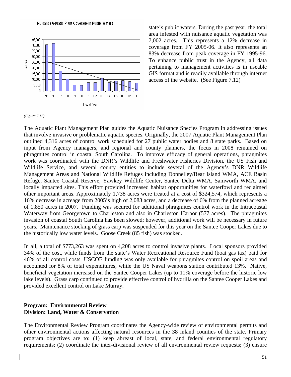Nuisance Aquatic Plant Coverage in Public Waters



state's public waters. During the past year, the total area infested with nuisance aquatic vegetation was 7,002 acres. This represents a 12% decrease in coverage from FY 2005-06. It also represents an 83% decrease from peak coverage in FY 1995-96. To enhance public trust in the Agency, all data pertaining to management activities is in useable GIS format and is readily available through internet access of the website. (See Figure 7.12)

*(Figure 7.12)* 

The Aquatic Plant Management Plan guides the Aquatic Nuisance Species Program in addressing issues that involve invasive or problematic aquatic species. Originally, the 2007 Aquatic Plant Management Plan outlined 4,316 acres of control work scheduled for 27 public water bodies and 8 state parks. Based on input from Agency managers, and regional and county planners, the focus in 2008 remained on phragmites control in coastal South Carolina. To improve efficacy of general operations, phragmites work was coordinated with the DNR's Wildlife and Freshwater Fisheries Division, the US Fish and Wildlife Service, and several county entities to include several of the Agency's DNR Wildlife Management Areas and National Wildlife Refuges including Donnelley/Bear Island WMA, ACE Basin Refuge, Santee Coastal Reserve, Yawkey Wildlife Center, Santee Delta WMA, Samworth WMA, and locally impacted sites. This effort provided increased habitat opportunities for waterfowl and reclaimed other important areas. Approximately 1,738 acres were treated at a cost of \$324,574, which represents a 16% decrease in acreage from 2005's high of 2,083 acres, and a decrease of 6% from the planned acreage of 1,850 acres in 2007. Funding was secured for additional phragmites control work in the Intracoastal Waterway from Georgetown to Charleston and also in Charleston Harbor (577 acres). The phragmites invasion of coastal South Carolina has been slowed; however, additional work will be necessary in future years. Maintenance stocking of grass carp was suspended for this year on the Santee Cooper Lakes due to the historically low water levels. Goose Creek (85 fish) was stocked.

In all, a total of \$773,263 was spent on 4,208 acres to control invasive plants. Local sponsors provided 34% of the cost, while funds from the state's Water Recreational Resource Fund (boat gas tax) paid for 46% of all control costs. USCOE funding was only available for phragmites control on spoil areas and accounted for 8% of total expenditures, while the US Naval weapons station contributed 13%. Native, beneficial vegetation increased on the Santee Cooper Lakes (up to 11% coverage before the historic low lake levels). Grass carp continued to provide effective control of hydrilla on the Santee Cooper Lakes and provided excellent control on Lake Murray.

#### **Program: Environmental Review Division: Land, Water & Conservation**

The Environmental Review Program coordinates the Agency-wide review of environmental permits and other environmental actions affecting natural resources in the 38 inland counties of the state. Primary program objectives are to: (1) keep abreast of local, state, and federal environmental regulatory requirements; (2) coordinate the inter-divisional review of all environmental review requests; (3) ensure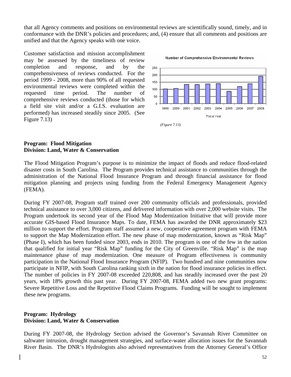that all Agency comments and positions on environmental reviews are scientifically sound, timely, and in conformance with the DNR's policies and procedures; and, (4) ensure that all comments and positions are unified and that the Agency speaks with one voice.

Customer satisfaction and mission accomplishment may be assessed by the timeliness of review completion and response, and by the comprehensiveness of reviews conducted. For the period 1999 - 2008, more than 90% of all requested environmental reviews were completed within the requested time period. The number of comprehensive reviews conducted (those for which a field site visit and/or a G.I.S. evaluation are performed) has increased steadily since 2005. (See Figure 7.13)

Number of Comprehensive Environmental Reviews



#### **Program: Flood Mitigation Division: Land, Water & Conservation**

The Flood Mitigation Program's purpose is to minimize the impact of floods and reduce flood-related disaster costs in South Carolina. The Program provides technical assistance to communities through the administration of the National Flood Insurance Program and through financial assistance for flood mitigation planning and projects using funding from the Federal Emergency Management Agency (FEMA).

During FY 2007-08, Program staff trained over 200 community officials and professionals, provided technical assistance to over 3,000 citizens, and delivered information with over 2,000 website visits. The Program undertook its second year of the Flood Map Modernization Initiative that will provide more accurate GIS-based Flood Insurance Maps. To date, FEMA has awarded the DNR approximately \$23 million to support the effort. Program staff assumed a new, cooperative agreement program with FEMA to support the Map Modernization effort. The new phase of map modernization, known as "Risk Map" (Phase I), which has been funded since 2003, ends in 2010. The program is one of the few in the nation that qualified for initial year "Risk Map" funding for the City of Greenville. "Risk Map" is the map maintenance phase of map modernization. One measure of Program effectiveness is community participation in the National Flood Insurance Program (NFIP). Two hundred and nine communities now participate in NFIP, with South Carolina ranking sixth in the nation for flood insurance policies in effect. The number of policies in FY 2007-08 exceeded 220,808, and has steadily increased over the past 20 years, with 18% growth this past year. During FY 2007-08, FEMA added two new grant programs: Severe Repetitive Loss and the Repetitive Flood Claims Programs. Funding will be sought to implement these new programs.

#### **Program: Hydrology Division: Land, Water & Conservation**

During FY 2007-08, the Hydrology Section advised the Governor's Savannah River Committee on saltwater intrusion, drought management strategies, and surface-water allocation issues for the Savannah River Basin. The DNR's Hydrologists also advised representatives from the Attorney General's Office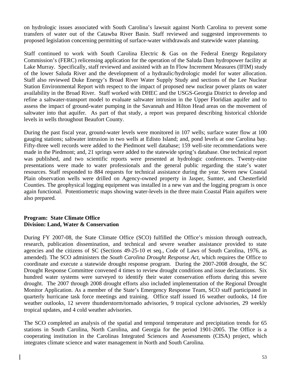on hydrologic issues associated with South Carolina's lawsuit against North Carolina to prevent some transfers of water out of the Catawba River Basin. Staff reviewed and suggested improvements to proposed legislation concerning permitting of surface-water withdrawals and statewide water planning.

Staff continued to work with South Carolina Electric & Gas on the Federal Energy Regulatory Commission's (FERC) relicensing application for the operation of the Saluda Dam hydropower facility at Lake Murray. Specifically, staff reviewed and assisted with an In Flow Increment Measures (IFIM) study of the lower Saluda River and the development of a hydraulic/hydrologic model for water allocation. Staff also reviewed Duke Energy's Broad River Water Supply Study and sections of the Lee Nuclear Station Environmental Report with respect to the impact of proposed new nuclear power plants on water availability in the Broad River. Staff worked with DHEC and the USGS-Georgia District to develop and refine a saltwater-transport model to evaluate saltwater intrusion in the Upper Floridian aquifer and to assess the impact of ground-water pumping in the Savannah and Hilton Head areas on the movement of saltwater into that aquifer. As part of that study, a report was prepared describing historical chloride levels in wells throughout Beaufort County.

During the past fiscal year, ground-water levels were monitored in 107 wells; surface water flow at 100 gauging stations; saltwater intrusion in two wells at Edisto Island; and, pond levels at one Carolina bay. Fifty-three well records were added to the Piedmont well database; 159 well-site recommendations were made in the Piedmont; and, 21 springs were added to the statewide spring's database. One technical report was published, and two scientific reports were presented at hydrologic conferences. Twenty-nine presentations were made to water professionals and the general public regarding the state's water resources. Staff responded to 884 requests for technical assistance during the year. Seven new Coastal Plain observation wells were drilled on Agency-owned property in Jasper, Sumter, and Chesterfield Counties. The geophysical logging equipment was installed in a new van and the logging program is once again functional. Potentiometric maps showing water-levels in the three main Coastal Plain aquifers were also prepared.

#### **Program: State Climate Office Division: Land, Water & Conservation**

During FY 2007-08, the State Climate Office (SCO) fulfilled the Office's mission through outreach, research, publication dissemination, and technical and severe weather assistance provided to state agencies and the citizens of SC (Sections 49-25-10 et seq., Code of Laws of South Carolina, 1976, as amended). The SCO administers the *South Carolina Drought Response Act*, which requires the Office to coordinate and execute a statewide drought response program. During the 2007-2008 drought, the SC Drought Response Committee convened 4 times to review drought conditions and issue declarations. Six hundred water systems were surveyed to identify their water conservation efforts during this severe drought. The 2007 through 2008 drought efforts also included implementation of the Regional Drought Monitor Application. As a member of the State's Emergency Response Team, SCO staff participated in quarterly hurricane task force meetings and training. Office staff issued 16 weather outlooks, 14 fire weather outlooks, 12 severe thunderstorm/tornado advisories, 9 tropical cyclone advisories, 29 weekly tropical updates, and 4 cold weather advisories.

The SCO completed an analysis of the spatial and temporal temperature and precipitation trends for 65 stations in South Carolina, North Carolina, and Georgia for the period 1901-2005. The Office is a cooperating institution in the Carolinas Integrated Sciences and Assessments (CISA) project, which integrates climate science and water management in North and South Carolina.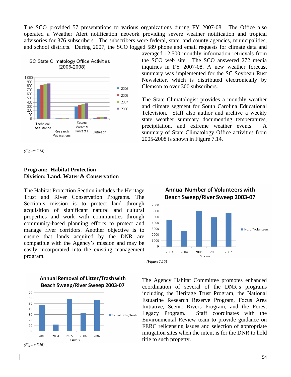The SCO provided 57 presentations to various organizations during FY 2007-08. The Office also operated a Weather Alert notification network providing severe weather notification and tropical advisories for 376 subscribers. The subscribers were federal, state, and county agencies, municipalities, and school districts. During 2007, the SCO logged 589 phone and email requests for climate data and



*(Figure 7.14)* 

#### **Program: Habitat Protection Division: Land, Water & Conservation**

The Habitat Protection Section includes the Heritage Trust and River Conservation Programs. The Section's mission is to protect land through acquisition of significant natural and cultural properties and work with communities through community-based planning efforts to protect and manage river corridors. Another objective is to ensure that lands acquired by the DNR are compatible with the Agency's mission and may be easily incorporated into the existing management program.



**Annual Removal of Litter/Trash with** 

*(Figure 7.16)* 

averaged 12,500 monthly information retrievals from the SCO web site. The SCO answered 272 media inquiries in FY 2007-08. A new weather forecast summary was implemented for the SC Soybean Rust Newsletter, which is distributed electronically by Clemson to over 300 subscribers.

The State Climatologist provides a monthly weather and climate segment for South Carolina Educational Television. Staff also author and archive a weekly state weather summary documenting temperatures, precipitation, and extreme weather events. A summary of State Climatology Office activities from 2005-2008 is shown in Figure 7.14.



The Agency Habitat Committee promotes enhanced coordination of several of the DNR's programs including the Heritage Trust Program, the National Estuarine Research Reserve Program, Focus Area Initiative, Scenic Rivers Program, and the Forest Legacy Program. Staff coordinates with the Environmental Review team to provide guidance on FERC relicensing issues and selection of appropriate mitigation sites when the intent is for the DNR to hold title to such property.

# **Annual Number of Volunteers with** Beach Sweep/River Sweep 2003-07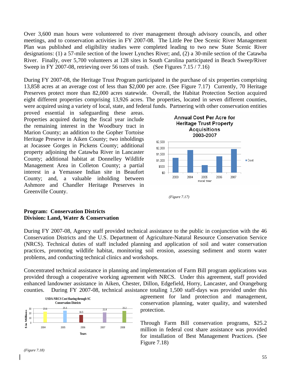Over 3,600 man hours were volunteered to river management through advisory councils, and other meetings, and to conservation activities in FY 2007-08. The Little Pee Dee Scenic River Management Plan was published and eligibility studies were completed leading to two new State Scenic River designations: (1) a 57-mile section of the lower Lynches River; and, (2) a 30-mile section of the Catawba River. Finally, over 5,700 volunteers at 128 sites in South Carolina participated in Beach Sweep/River Sweep in FY 2007-08, retrieving over 56 tons of trash. (See Figures 7.15 / 7.16)

During FY 2007-08, the Heritage Trust Program participated in the purchase of six properties comprising 13,858 acres at an average cost of less than \$2,000 per acre. (See Figure 7.17) Currently, 70 Heritage Preserves protect more than 82,000 acres statewide. Overall, the Habitat Protection Section acquired eight different properties comprising 13,926 acres. The properties, located in seven different counties, were acquired using a variety of local, state, and federal funds. Partnering with other conservation entities

proved essential in safeguarding these areas. Properties acquired during the fiscal year include the remaining interest in the Woodbury tract in Marion County; an addition to the Gopher Tortoise Heritage Preserve in Aiken County; two inholdings at Jocassee Gorges in Pickens County; additional property adjoining the Catawba River in Lancaster County; additional habitat at Donnelley Wildlife Management Area in Colleton County; a partial interest in a Yemassee Indian site in Beaufort County; and, a valuable inholding between Ashmore and Chandler Heritage Preserves in Greenville County.



 *(Figure 7.17)* 

#### **Program: Conservation Districts Division: Land, Water & Conservation**

During FY 2007-08, Agency staff provided technical assistance to the public in conjunction with the 46 Conservation Districts and the U.S. Department of Agriculture-Natural Resource Conservation Service (NRCS). Technical duties of staff included planning and application of soil and water conservation practices, promoting wildlife habitat, monitoring soil erosion, assessing sediment and storm water problems, and conducting technical clinics and workshops.

Concentrated technical assistance in planning and implementation of Farm Bill program applications was provided through a cooperative working agreement with NRCS. Under this agreement, staff provided enhanced landowner assistance in Aiken, Chester, Dillon, Edgefield, Horry, Lancaster, and Orangeburg counties. During FY 2007-08, technical assistance totaling 1,500 staff-days was provided under this



agreement for land protection and management, conservation planning, water quality, and watershed protection.

Through Farm Bill conservation programs, \$25.2 million in federal cost share assistance was provided for installation of Best Management Practices. (See Figure 7.18)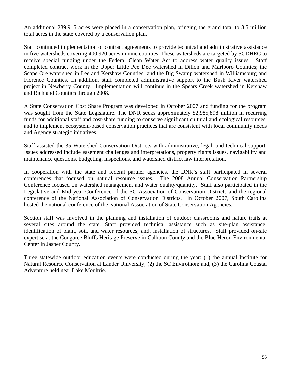An additional 289,915 acres were placed in a conservation plan, bringing the grand total to 8.5 million total acres in the state covered by a conservation plan.

Staff continued implementation of contract agreements to provide technical and administrative assistance in five watersheds covering 400,920 acres in nine counties. These watersheds are targeted by SCDHEC to receive special funding under the Federal Clean Water Act to address water quality issues. Staff completed contract work in the Upper Little Pee Dee watershed in Dillon and Marlboro Counties; the Scape Ore watershed in Lee and Kershaw Counties; and the Big Swamp watershed in Williamsburg and Florence Counties. In addition, staff completed administrative support to the Bush River watershed project in Newberry County. Implementation will continue in the Spears Creek watershed in Kershaw and Richland Counties through 2008.

A State Conservation Cost Share Program was developed in October 2007 and funding for the program was sought from the State Legislature. The DNR seeks approximately \$2,985,898 million in recurring funds for additional staff and cost-share funding to conserve significant cultural and ecological resources, and to implement ecosystem-based conservation practices that are consistent with local community needs and Agency strategic initiatives.

Staff assisted the 35 Watershed Conservation Districts with administrative, legal, and technical support. Issues addressed include easement challenges and interpretations, property rights issues, navigability and maintenance questions, budgeting, inspections, and watershed district law interpretation.

In cooperation with the state and federal partner agencies, the DNR's staff participated in several conferences that focused on natural resource issues. The 2008 Annual Conservation Partnership Conference focused on watershed management and water quality/quantity. Staff also participated in the Legislative and Mid-year Conference of the SC Association of Conservation Districts and the regional conference of the National Association of Conservation Districts. In October 2007, South Carolina hosted the national conference of the National Association of State Conservation Agencies.

Section staff was involved in the planning and installation of outdoor classrooms and nature trails at several sites around the state. Staff provided technical assistance such as site-plan assistance; identification of plant, soil, and water resources; and, installation of structures. Staff provided on-site expertise at the Congaree Bluffs Heritage Preserve in Calhoun County and the Blue Heron Environmental Center in Jasper County.

Three statewide outdoor education events were conducted during the year: (1) the annual Institute for Natural Resource Conservation at Lander University; (2) the SC Envirothon; and, (3) the Carolina Coastal Adventure held near Lake Moultrie.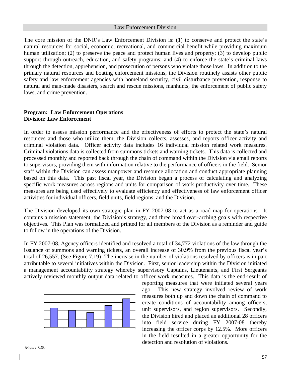#### Law Enforcement Division

The core mission of the DNR's Law Enforcement Division is: (1) to conserve and protect the state's natural resources for social, economic, recreational, and commercial benefit while providing maximum human utilization; (2) to preserve the peace and protect human lives and property; (3) to develop public support through outreach, education, and safety programs; and (4) to enforce the state's criminal laws through the detection, apprehension, and prosecution of persons who violate those laws. In addition to the primary natural resources and boating enforcement missions, the Division routinely assists other public safety and law enforcement agencies with homeland security, civil disturbance prevention, response to natural and man-made disasters, search and rescue missions, manhunts, the enforcement of public safety laws, and crime prevention.

#### Program: Law Enforcement Operations **Division: Law Enforcement**

In order to assess mission performance and the effectiveness of efforts to protect the state's natural resources and those who utilize them, the Division collects, assesses, and reports officer activity and criminal violation data. Officer activity data includes 16 individual mission related work measures. Criminal violations data is collected from summons tickets and warning tickets. This data is collected and processed monthly and reported back through the chain of command within the Division via email reports to supervisors, providing them with information relative to the performance of officers in the field. Senior staff within the Division can assess manpower and resource allocation and conduct appropriate planning based on this data. This past fiscal year, the Division began a process of calculating and analyzing specific work measures across regions and units for comparison of work productivity over time. These measures are being used effectively to evaluate efficiency and effectiveness of law enforcement officer activities for individual officers, field units, field regions, and the Division.

The Division developed its own strategic plan in FY 2007-08 to act as a road map for operations. It contains a mission statement, the Division's strategy, and three broad over-arching goals with respective objectives. This Plan was formalized and printed for all members of the Division as a reminder and guide to follow in the operations of the Division.

 FY 2007-08, Agency officers identified and resolved a total of 34,772 violations of the law through the In issuance of summons and warning tickets, an overall increase of 30.9% from the previous fiscal year's total of 26,557. (See Figure 7.19) The increase in the number of violations resolved by officers is in part attributable to several initiatives within the Division. First, senior leadership within the Division initiated a management accountability strategy whereby supervisory Captains, Lieutenants, and First Sergeants actively reviewed monthly output data related to officer work measures. This data is the end-result of



reporting measures that were initiated several years ago. This new strategy involved review of work measures both up and down the chain of command to create conditions of accountability among officers, unit supervisors, and region supervisors. Secondly, the Division hired and placed an additional 28 officers into field service during FY 2007-08 thereby increasing the officer corps by 12.5%. More officers in the field resulted in a greater opportunity for the detection and resolution of violations.

 *(Figure 7.19)*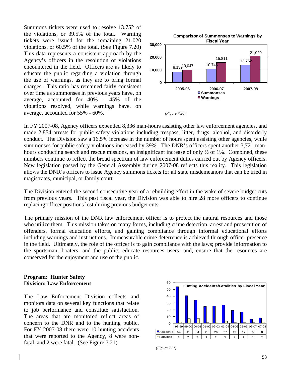Summons tickets were used to resolve 13,752 of the violations, or 39.5% of the total. Warning tickets were issued for the remaining 21,020 violations, or 60.5% of the total. (See Figure 7.20) This data represents a consistent approach by the Agency's officers in the resolution of violations encountered in the field. Officers are as likely to educate the public regarding a violation through the use of warnings, as they are to bring formal charges. This ratio has remained fairly consistent over time as summonses in previous years have, on average, accounted for 40% - 45% of the violations resolved, while warnings have, on average, accounted for 55% - 60%. *(*



In FY 2007-08, Agency officers expended 8,336 man-hours assisting other law enforcement agencies, and made 2,854 arrests for public safety violations including trespass, litter, drugs, alcohol, and disorderly conduct. The Division saw a 16.5% increase in the number of hours spent assisting other agencies, while summonses for public safety violations increased by 39%. The DNR's officers spent another 3,721 manhours conducting search and rescue missions, an insignificant increase of only  $\frac{1}{2}$  of 1%. Combined, these numbers continue to reflect the broad spectrum of law enforcement duties carried out by Agency officers. New legislation passed by the General Assembly during 2007-08 reflects this reality. This legislation allows the DNR's officers to issue Agency summons tickets for all state misdemeanors that can be tried in magistrates, municipal, or family court.

The Division entered the second consecutive year of a rebuilding effort in the wake of severe budget cuts from previous years. This past fiscal year, the Division was able to hire 28 more officers to continue replacing officer positions lost during previous budget cuts.

The primary mission of the DNR law enforcement officer is to protect the natural resources and those who utilize them. This mission takes on many forms, including crime detection, arrest and prosecution of offenders, formal education efforts, and gaining compliance through informal educational efforts including warnings and instructions. Immeasurable crime deterrence is achieved through officer presence in the field. Ultimately, the role of the officer is to gain compliance with the laws; provide information to the sportsman, boaters, and the public; educate resources users; and, ensure that the resources are conserved for the enjoyment and use of the public.

#### **Program: Hunter Safety Division: Law Enforcement**

The Law Enforcement Division collects and monitors data on several key functions that relate to job performance and constitute satisfaction. The areas that are monitored reflect areas of concern to the DNR and to the hunting public. For FY 2007-08 there were 10 hunting accidents that were reported to the Agency, 8 were nonfatal, and 2 were fatal. (See Figure 7.21)



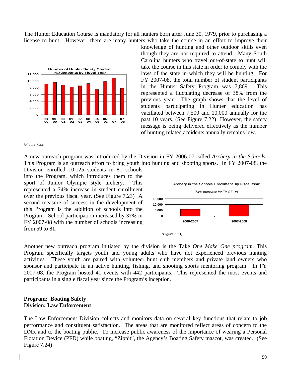The Hunter Education Course is mandatory for all hunters born after June 30, 1979, prior to purchasing a license to hunt. However, there are many hunters who take the course in an effort to improve their



knowledge of hunting and other outdoor skills even though they are not required to attend. Many South Carolina hunters who travel out-of-state to hunt will take the course in this state in order to comply with the laws of the state in which they will be hunting. For FY 2007-08, the total number of student participants in the Hunter Safety Program was 7,869. This represented a fluctuating decrease of 38% from the previous year. The graph shows that the level of students participating in Hunter education has vacillated between 7,500 and 10,000 annually for the past 10 years. (See Figure 7.22) However, the safety message is being delivered effectively as the number of hunting related accidents annually remains low.

#### *(Figure 7.22)*

A new outreach program was introduced by the Division in FY 2006-07 called *Archery in the Schools*. This Program is an outreach effort to bring youth into hunting and shooting sports. In FY 2007-08, the

Division enrolled 10,125 students in 81 schools into the Program, which introduces them to the sport of Junior Olympic style archery. This represented a 74% increase in student enrollment over the previous fiscal year. (See Figure 7.23) A second measure of success in the development of this Program is the addition of schools into the Program. School participation increased by 37% in FY 2007-08 with the number of schools increasing from 59 to 81.





Another new outreach program initiated by the division is the Take One Make One program. This Program specifically targets youth and young adults who have not experienced previous hunting activities. These youth are paired with volunteer hunt club members and private land owners who sponsor and participate in an active hunting, fishing, and shooting sports mentoring program. In FY 2007-08, the Program hosted 41 events with 442 participants. This represented the most events and participants in a single fiscal year since the Program's inception.

#### **Division: Law Enforcement Program: Boating Safety**

The Law Enforcement Division collects and monitors data on several key functions that relate to job performance and constituent satisfaction. The areas that are monitored reflect areas of concern to the DNR and to the boating public. To increase public awareness of the importance of wearing a Personal Flotation Device (PFD) while boating, "Zippit", the Agency's Boating Safety mascot, was created. (See Figure 7.24)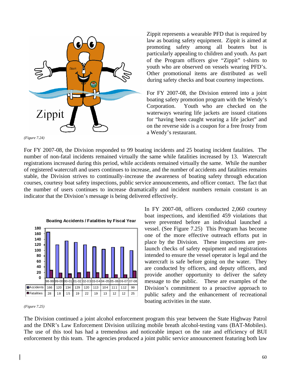

Zippit represents a wearable PFD that is required by law as boating safety equipment. Zippit is aimed at promoting safety among all boaters but is particularly appealing to children and youth. As part of the Program officers give "Zippit" t-shirts to youth who are observed on vessels wearing PFD's. Other promotional items are distributed as well during safety checks and boat courtesy inspections.

boating safety promotion program with the Wendy's For FY 2007-08, the Division entered into a joint Corporation. Youth who are checked on the waterways wearing life jackets are issued citations for "having been caught wearing a life jacket" and on the reverse side is a coupon for a free frosty from a Wendy's restaurant.

*(F igure 7.24)* 

For FY 2007-08, the Division responded to 99 boating incidents and 25 boating incident fatalities. The number of non-fatal incidents remained virtually the same while fatalities increased by 13. Watercraft registrations increased during this period, while accidents remained virtually the same. While the number of registered watercraft and users continues to increase, and the number of accidents and fatalities remains stable, the Division strives to continually increase the awareness of boating safety through education courses, courtesy boat safety inspections, public service announcements, and officer contact. The fact that the number of users continues to increase dramatically and incident numbers remain constant is an indicator that the Division's message is being delivered effectively.



#### *(Figure 7.25)*

In FY 2007-08, officers conducted 2,060 courtesy boat inspections, and identified 459 violations that were prevented before an individual launched a vessel. (See Figure 7.25) This Program has become one of the more effective outreach efforts put in place by the Division. These inspections are prelaunch checks of safety equipment and registrations intended to ensure the vessel operator is legal and the watercraft is safe before going on the water. They are conducted by officers, and deputy officers, and provide another opportunity to deliver the safety message to the public. These are examples of the Division's commitment to a proactive approach to public safety and the enhancement of recreational boating activities in the state.

The Division continued a joint alcohol enforcement program this year between the State Highway Patrol and the DNR's Law Enforcement Division utilizing mobile breath alcohol-testing vans (BAT-Mobiles). The use of this tool has had a tremendous and noticeable impact on the rate and efficiency of BUI enforcement by this team. The agencies produced a joint public service announcement featuring both law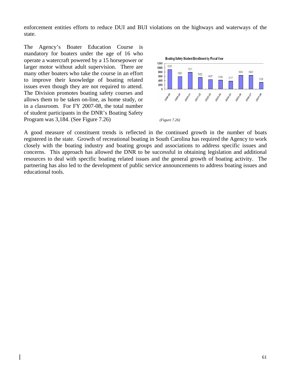enforcement entities efforts to reduce DUI and BUI violations on the highways and waterways of the state.

The Agency's Boater Education Course is mandatory for boaters under the age of 16 who operate a watercraft powered by a 15 horsepower or larger motor without adult supervision. There are many other boaters who take the course in an effort to improve their knowledge of boating related issues even though they are not required to attend. The Division promotes boating safety courses and allows them to be taken on-line, as home study, or in a classroom. For FY 2007-08, the total number of student participants in the DNR's Boating Safety Program was 3,184. (See Figure 7.26)



A good measure of constituent trends is reflected in the continued growth in the number of boats registered in the state. Growth of recreational boating in South Carolina has required the Agency to work closely with the boating industry and boating groups and associations to address specific issues and concerns. This approach has allowed the DNR to be successful in obtaining legislation and additional resources to deal with specific boating related issues and the general growth of boating activity. The partnering has also led to the development of public service announcements to address boating issues and educational tools.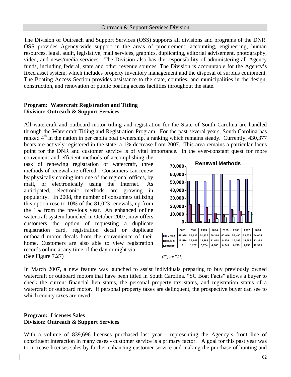#### Outreach & Support Services Division

The Division of Outreach and Support Services (OSS) supports all divisions and programs of the DNR. OSS provides Agency-wide support in the areas of procurement, accounting, engineering, human resources, legal, audit, legislative, mail services, graphics, duplicating, editorial advisement, photography, video, and news/media services. The Division also has the responsibility of administering all Agency funds, including federal, state and other revenue sources. The Division is accountable for the Agency's fixed asset system, which includes property inventory management and the disposal of surplus equipment. The Boating Access Section provides assistance to the state, counties, and municipalities in the design, construction, and renovation of public boating access facilities throughout the state.

#### Program: Watercraft Registration and Titling **Division: Outreach & Support Services**

All watercraft and outboard motor titling and registration for the State of South Carolina are handled through the Watercraft Titling and Registration Program. For the past several years, South Carolina has ranked  $4<sup>th</sup>$  in the nation in per capita boat ownership, a ranking which remains steady. Currently, 430,377 boats are actively registered in the state, a 1% decrease from 2007. This area remains a particular focus point for the DNR and customer service is of vital importance. In the ever-constant quest for more

convenient and efficient methods of accomplishing the task of renewing registration of watercraft, three methods of renewal are offered. Consumers can renew by physically coming into one of the regional offices, by mail, or electronically using the Internet. As anticipated, electronic methods are growing in popularity. In 2008, the number of consumers utilizing this option rose to 10% of the 81,023 renewals, up from the 1% from the previous year. An enhanced online watercraft system launched in October 2007, now offers customers the option of requesting a duplicate registration card, registration decal or duplicate outboard motor decals from the convenience of their home. Customers are also able to view registration records online at any time of the day or night via. (See Figure 7.27)



*(Figure 7.27)*

In March 2007, a new feature was launched to assist individuals preparing to buy previously owned watercraft or outboard motors that have been titled in South Carolina. "SC Boat Facts" allows a buyer to check the current financial lien status, the personal property tax status, and registration status of a watercraft or outboard motor. If personal property taxes are delinquent, the prospective buyer can see to which county taxes are owed.

#### **rogram: Licenses Sales P Division: Outreach & Support Services**

With a volume of 839,696 licenses purchased last year - representing the Agency's front line of constituent interaction in many cases - customer service is a primary factor. A goal for this past year was to increase licenses sales by further enhancing customer service and making the purchase of hunting and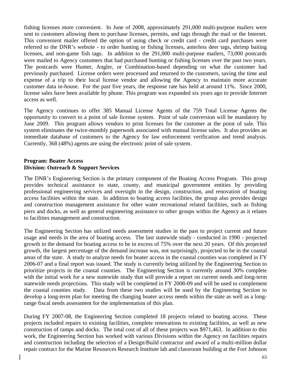fishing licenses more convenient. In June of 2008, approximately 291,000 multi-purpose mailers were sent to customers allowing them to purchase licenses, permits, and tags through the mail or the Internet. This convenient mailer offered the option of using check or credit card - credit card purchases were referred to the DNR's website - to order hunting or fishing licenses, anterless deer tags, shrimp baiting licenses, and non-game fish tags. In addition to the 291,000 multi-purpose mailers, 73,000 postcards were mailed to Agency customers that had purchased hunting or fishing licenses over the past two years. The postcards were Hunter, Angler, or Combination-based depending on what the customer had previously purchased. License orders were processed and returned to the customers, saving the time and expense of a trip to their local license vendor and allowing the Agency to maintain more accurate customer data in-house. For the past five years, the response rate has held at around 11%. Since 2000, license sales have been available by phone. This program was expanded six years ago to provide Internet access as well.

The Agency continues to offer 385 Manual License Agents of the 759 Total License Agents the opportunity to convert to a point of sale license system. Point of sale conversion will be mandatory by June 2009. This program allows vendors to print licenses for the customer at the point of sale. This system eliminates the twice-monthly paperwork associated with manual license sales. It also provides an immediate database of customers to the Agency for law enforcement verification and trend analysis. Currently, 368 (48%) agents are using the electronic point of sale system.

#### Program: Boater Access **Division: Outreach & Support Services**

The DNR's Engineering Section is the primary component of the Boating Access Program. This group provides technical assistance to state, county, and municipal government entities by providing professional engineering services and oversight in the design, construction, and renovation of boating access facilities within the state. In addition to boating access facilities, the group also provides design and construction management assistance for other water recreational related facilities, such as fishing piers and docks, as well as general engineering assistance to other groups within the Agency as it relates to facilities management and construction.

The Engineering Section has utilized needs assessment studies in the past to project current and future usage and needs in the area of boating access. The last statewide study - conducted in 1990 - projected growth in the demand for boating access to be in excess of 75% over the next 20 years. Of this projected growth, the largest percentage of the demand increase was, not surprisingly, projected to be in the coastal areas of the state. A study to analyze needs for boater access in the coastal counties was completed in FY 2006-07 and a final report was issued. The study is currently being utilized by the Engineering Section to prioritize projects in the coastal counties. The Engineering Section is currently around 30% complete with the initial work for a new statewide study that will provide a report on current needs and long-term statewide needs projections. This study will be completed in FY 2008-09 and will be used to complement the coastal counties study. Data from these two studies will be used by the Engineering Section to develop a long-term plan for meeting the changing boater access needs within the state as well as a longrange fiscal needs assessment for the implementation of this plan.

During FY 2007-08, the Engineering Section completed 18 projects related to boating access. These projects included repairs to existing facilities, complete renovations to existing facilities, as well as new construction of ramps and docks. The total cost of all of these projects was \$971,463. In addition to this work, the Engineering Section has worked with various Divisions within the Agency on facilities repairs and construction including the selection of a Design/Build contractor and award of a multi-million dollar repair contract for the Marine Resources Research Institute lab and classroom building at the Fort Johnson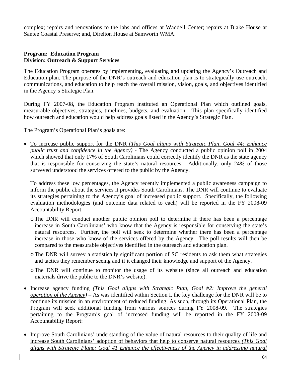complex; repairs and renovations to the labs and offices at Waddell Center; repairs at Blake House at Santee Coastal Preserve; and, Direlton House at Samworth WMA.

#### **Program: Education Program Division: Outreach & Support Services**

The Education Program operates by implementing, evaluating and updating the Agency's Outreach and Education plan. The purpose of the DNR's outreach and education plan is to strategically use outreach, communications, and education to help reach the overall mission, vision, goals, and objectives identified in the Agency's Strategic Plan.

During FY 2007-08, the Education Program instituted an Operational Plan which outlined goals, measurable objectives, strategies, timelines, budgets, and evaluation. This plan specifically identified how outreach and education would help address goals listed in the Agency's Strategic Plan.

The Program's Operational Plan's goals are:

To increase public support for the DNR (*This Goal aligns with Strategic Plan, Goal #4: Enhance*  • *public trust and confidence in the Agency)* - The Agency conducted a public opinion poll in 2004 which showed that only 17% of South Carolinians could correctly identify the DNR as the state agency that is responsible for conserving the state's natural resources. Additionally, only 24% of those surveyed understood the services offered to the public by the Agency.

To address these low percentages, the Agency recently implemented a public awareness campaign to inform the public about the services it provides South Carolinians. The DNR will continue to evaluate its strategies pertaining to the Agency's goal of increased public support. Specifically, the following evaluation methodologies (and outcome data related to each) will be reported in the FY 2008-09 Accountability Report:

- o The DNR will conduct another public opinion poll to determine if there has been a percentage increase in South Carolinians' who know that the Agency is responsible for conserving the state's natural resources. Further, the poll will seek to determine whether there has been a percentage increase in those who know of the services offered by the Agency. The poll results will then be compared to the measurable objectives identified in the outreach and education plan.
- o The DNR will survey a statistically significant portion of SC residents to ask them what strategies and tactics they remember seeing and if it changed their knowledge and support of the Agency.
- oThe DNR will continue to monitor the usage of its website (since all outreach and education materials drive the public to the DNR's website).
- Increase agency funding *(This Goal aligns with Strategic Plan, Goal #2: Improve the general operation of the Agency) –* As was identified within Section I, the key challenge for the DNR will be to continue its mission in an environment of reduced funding. As such, through its Operational Plan, the Program will seek additional funding from various sources during FY 2008-09. The strategies pertaining to the Program's goal of increased funding will be reported in the FY 2008-09 Accountability Report:
- Improve South Carolinians' understanding of the value of natural resources to their quality of life and increase South Carolinians' adoption of behaviors that help to conserve natural resources *(This Goal aligns with Strategic Plane: Goal #1 Enhance the effectiveness of the Agency in addressing natural*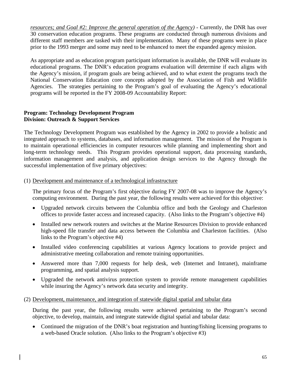*resources; and Goal #2: Improve the general operation of the Agency) - Currently, the DNR has over* 30 conservation education programs. These programs are conducted through numerous divisions and different staff members are tasked with their implementation. Many of these programs were in place prior to the 1993 merger and some may need to be enhanced to meet the expanded agency mission.

As appropriate and as education program participant information is available, the DNR will evaluate its educational programs. The DNR's education programs evaluation will determine if each aligns with the Agency's mission, if program goals are being achieved, and to what extent the programs teach the National Conservation Education core concepts adopted by the Association of Fish and Wildlife Agencies. The strategies pertaining to the Program's goal of evaluating the Agency's educational programs will be reported in the FY 2008-09 Accountability Report:

#### Program: Technology Development Program **Division: Outreach & Support Services**

The Technology Development Program was established by the Agency in 2002 to provide a holistic and integrated approach to systems, databases, and information management. The mission of the Program is to maintain operational efficiencies in computer resources while planning and implementing short and long-term technology needs. This Program provides operational support, data processing standards, information management and analysis, and application design services to the Agency through the successful implementation of five primary objectives:

#### 1) Development and maintenance of a technological infrastructure (

The primary focus of the Program's first objective during FY 2007-08 was to improve the Agency's computing environment. During the past year, the following results were achieved for this objective:

- Upgraded network circuits between the Columbia office and both the Geology and Charleston offices to provide faster access and increased capacity. (Also links to the Program's objective #4)
- Installed new network routers and switches at the Marine Resources Division to provide enhanced high-speed file transfer and data access between the Columbia and Charleston facilities. (Also links to the Program's objective #4)
- Installed video conferencing capabilities at various Agency locations to provide project and administrative meeting collaboration and remote training opportunities.
- Answered more than 7,000 requests for help desk, web (Internet and Intranet), mainframe programming, and spatial analysis support.
- Upgraded the network antivirus protection system to provide remote management capabilities while insuring the Agency's network data security and integrity.

#### (2) Development, maintenance, and integration of statewide digital spatial and tabular data

During the past year, the following results were achieved pertaining to the Program's second objective, to develop, maintain, and integrate statewide digital spatial and tabular data:

• Continued the migration of the DNR's boat registration and hunting/fishing licensing programs to a web-based Oracle solution. (Also links to the Program's objective #3)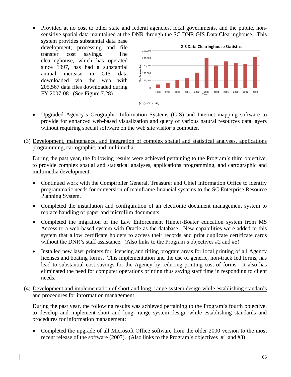• Provided at no cost to other state and federal agencies, local governments, and the public, nonsensitive spatial data maintained at the DNR through the SC DNR GIS Data Clearinghouse. This

system provides substantial data base development; processing and file transfer cost savings. The clearinghouse, which has operated since 1997, has had a substantial annual increase in GIS data downloaded via the web with 205,567 data files downloaded during FY 2007-08. (See Figure 7.28)





- Upgraded Agency's Geographic Information Systems (GIS) and Internet mapping software to provide for enhanced web-based visualization and query of various natural resources data layers without requiring special software on the web site visitor's computer.
- (3) Development, maintenance, and integration of complex spatial and statistical analyses, applications programming, cartographic, and multimedia

During the past year, the following results were achieved pertaining to the Program's third objective, to provide complex spatial and statistical analyses, applications programming, and cartographic and multimedia development:

- Continued work with the Comptroller General, Treasurer and Chief Information Office to identify programmatic needs for conversion of mainframe financial systems to the SC Enterprise Resource Planning System.
- Completed the installation and configuration of an electronic document management system to replace handling of paper and microfilm documents.
- Completed the migration of the Law Enforcement Hunter-Boater education system from MS Access to a web-based system with Oracle as the database. New capabilities were added to this system that allow certificate holders to access their records and print duplicate certificate cards without the DNR's staff assistance. (Also links to the Program's objectives #2 and #5)
- Installed new laser printers for licensing and titling program areas for local printing of all Agency licenses and boating forms. This implementation and the use of generic, non-track fed forms, has lead to substantial cost savings for the Agency by reducing printing cost of forms. It also has eliminated the need for computer operations printing thus saving staff time in responding to client needs.
- (4) Development and implementation of short and long- range system design while establishing standards and procedures for information management

During the past year, the following results was achieved pertaining to the Program's fourth objective, to develop and implement short and long- range system design while establishing standards and procedures for information management:

• Completed the upgrade of all Microsoft Office software from the older 2000 version to the most recent release of the software (2007). (Also links to the Program's objectives #1 and #3)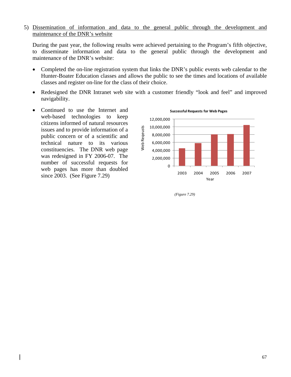5) Dissemination of information and data to the general public through the development and maintenance of the DNR's website

During the past year, the following results were achieved pertaining to the Program's fifth objective, to disseminate information and data to the general public through the development and maintenance of the DNR's website:

- Completed the on-line registration system that links the DNR's public events web calendar to the Hunter-Boater Education classes and allows the public to see the times and locations of available classes and register on-line for the class of their choice.
- Redesigned the DNR Intranet web site with a customer friendly "look and feel" and improved navigability.
- Continued to use the Internet and web-based technologies to keep citizens informed of natural resources issues and to provide information of a public concern or of a scientific and technical nature to its various constituencies. The DNR web page was redesigned in FY 2006-07. The number of successful requests for web pages has more than doubled since 2003. (See Figure 7.29)